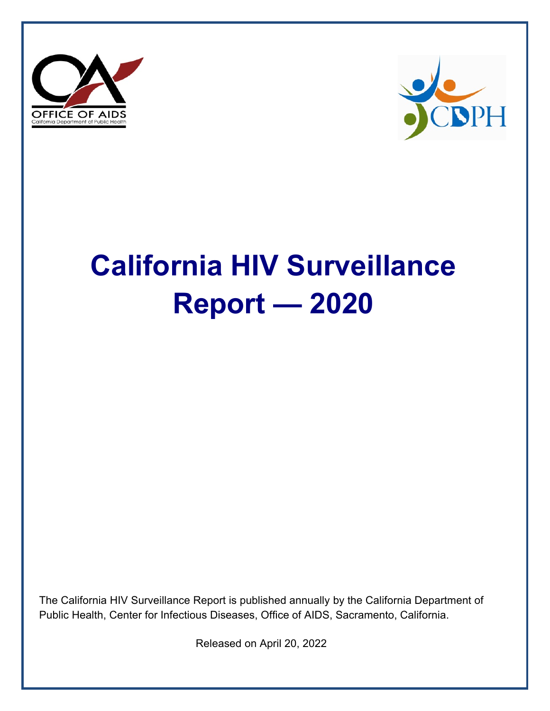



The California HIV Surveillance Report is published annually by the California Department of Public Health, Center for Infectious Diseases, Office of AIDS, Sacramento, California.

Released on April 20, 2022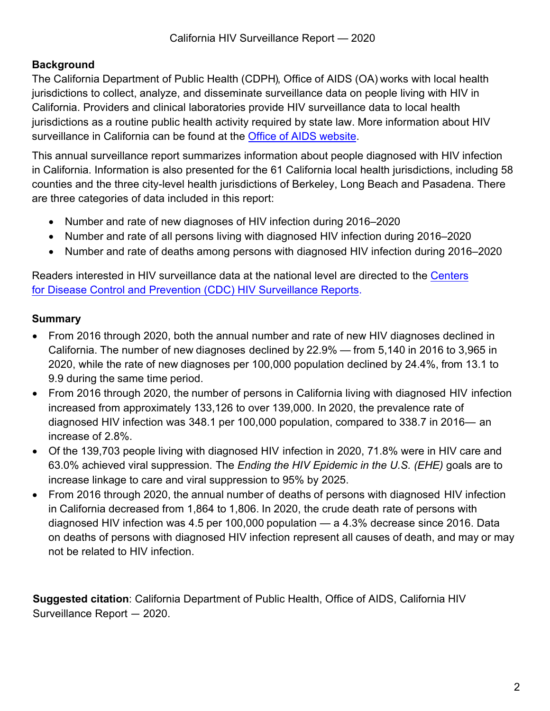## **Background**

The California Department of Public Health (CDPH), Office of AIDS (OA) works with local health jurisdictions to collect, analyze, and disseminate surveillance data on people living with HIV in California. Providers and clinical laboratories provide HIV surveillance data to local health jurisdictions as a routine public health activity required by state law. More information about HIV surveillance in California can be found at the [Office of AIDS website.](https://www.cdph.ca.gov/Programs/CID/DOA/Pages/OAsre.aspx)

This annual surveillance report summarizes information about people diagnosed with HIV infection in California. Information is also presented for the 61 California local health jurisdictions, including 58 counties and the three city-level health jurisdictions of Berkeley, Long Beach and Pasadena. There are three categories of data included in this report:

- Number and rate of new diagnoses of HIV infection during 2016–2020
- Number and rate of all persons living with diagnosed HIV infection during 2016–2020
- Number and rate of deaths among persons with diagnosed HIV infection during 2016–2020

Readers [interested in HIV surveillance data at the national level are directed to the Centers](https://www.cdc.gov/hiv/library/reports/hiv-surveillance.html)  for Disease Control and Prevention (CDC) HIV Surveillance Reports.

### **Summary**

- From 2016 through 2020, both the annual number and rate of new HIV diagnoses declined in California. The number of new diagnoses declined by 22.9% — from 5,140 in 2016 to 3,965 in 2020, while the rate of new diagnoses per 100,000 population declined by 24.4%, from 13.1 to 9.9 during the same time period.
- From 2016 through 2020, the number of persons in California living with diagnosed HIV infection increased from approximately 133,126 to over 139,000. In 2020, the prevalence rate of diagnosed HIV infection was 348.1 per 100,000 population, compared to 338.7 in 2016— an increase of 2.8%.
- Of the 139,703 people living with diagnosed HIV infection in 2020, 71.8% were in HIV care and 63.0% achieved viral suppression. The *Ending the HIV Epidemic in the U.S. (EHE)* goals are to increase linkage to care and viral suppression to 95% by 2025.
- From 2016 through 2020, the annual number of deaths of persons with diagnosed HIV infection in California decreased from 1,864 to 1,806. In 2020, the crude death rate of persons with diagnosed HIV infection was 4.5 per 100,000 population — a 4.3% decrease since 2016. Data on deaths of persons with diagnosed HIV infection represent all causes of death, and may or may not be related to HIV infection.

**Suggested citation**: California Department of Public Health, Office of AIDS, California HIV Surveillance Report — 2020.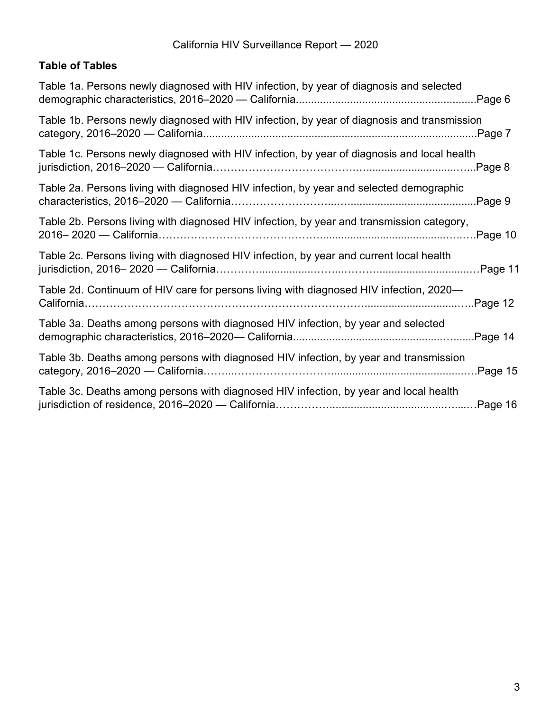## **Table of Tables**

| Table 1a. Persons newly diagnosed with HIV infection, by year of diagnosis and selected     |          |
|---------------------------------------------------------------------------------------------|----------|
| Table 1b. Persons newly diagnosed with HIV infection, by year of diagnosis and transmission |          |
| Table 1c. Persons newly diagnosed with HIV infection, by year of diagnosis and local health |          |
| Table 2a. Persons living with diagnosed HIV infection, by year and selected demographic     | Page 9   |
| Table 2b. Persons living with diagnosed HIV infection, by year and transmission category,   |          |
| Table 2c. Persons living with diagnosed HIV infection, by year and current local health     | Page 11  |
| Table 2d. Continuum of HIV care for persons living with diagnosed HIV infection, 2020—      | Page 12  |
| Table 3a. Deaths among persons with diagnosed HIV infection, by year and selected           |          |
| Table 3b. Deaths among persons with diagnosed HIV infection, by year and transmission       | Page 15  |
| Table 3c. Deaths among persons with diagnosed HIV infection, by year and local health       | Page 16. |
|                                                                                             |          |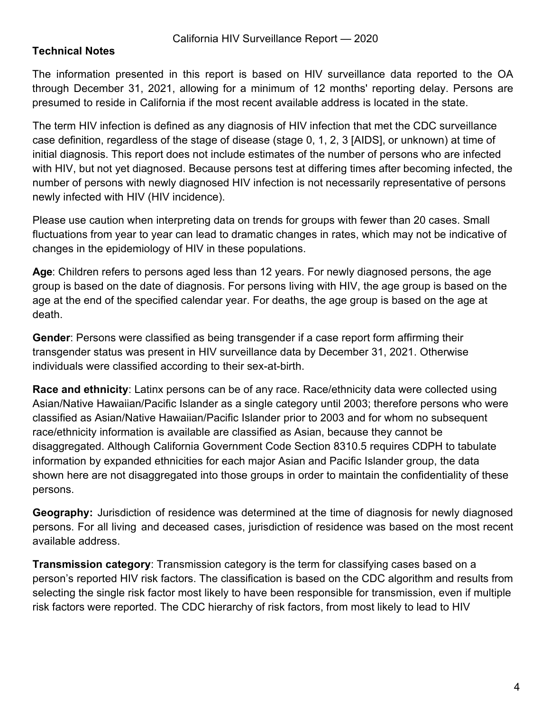#### **Technical Notes**

The information presented in this report is based on HIV surveillance data reported to the OA through December 31, 2021, allowing for a minimum of 12 months' reporting delay. Persons are presumed to reside in California if the most recent available address is located in the state.

The term HIV infection is defined as any diagnosis of HIV infection that met the CDC surveillance case definition, regardless of the stage of disease (stage 0, 1, 2, 3 [AIDS], or unknown) at time of initial diagnosis. This report does not include estimates of the number of persons who are infected with HIV, but not yet diagnosed. Because persons test at differing times after becoming infected, the number of persons with newly diagnosed HIV infection is not necessarily representative of persons newly infected with HIV (HIV incidence).

Please use caution when interpreting data on trends for groups with fewer than 20 cases. Small fluctuations from year to year can lead to dramatic changes in rates, which may not be indicative of changes in the epidemiology of HIV in these populations.

**Age**: Children refers to persons aged less than 12 years. For newly diagnosed persons, the age group is based on the date of diagnosis. For persons living with HIV, the age group is based on the age at the end of the specified calendar year. For deaths, the age group is based on the age at death.

**Gender**: Persons were classified as being transgender if a case report form affirming their transgender status was present in HIV surveillance data by December 31, 2021. Otherwise individuals were classified according to their sex-at-birth.

**Race and ethnicity**: Latinx persons can be of any race. Race/ethnicity data were collected using Asian/Native Hawaiian/Pacific Islander as a single category until 2003; therefore persons who were classified as Asian/Native Hawaiian/Pacific Islander prior to 2003 and for whom no subsequent race/ethnicity information is available are classified as Asian, because they cannot be disaggregated. Although California Government Code Section 8310.5 requires CDPH to tabulate information by expanded ethnicities for each major Asian and Pacific Islander group, the data shown here are not disaggregated into those groups in order to maintain the confidentiality of these persons.

**Geography:** Jurisdiction of residence was determined at the time of diagnosis for newly diagnosed persons. For all living and deceased cases, jurisdiction of residence was based on the most recent available address.

**Transmission category**: Transmission category is the term for classifying cases based on a person's reported HIV risk factors. The classification is based on the CDC algorithm and results from selecting the single risk factor most likely to have been responsible for transmission, even if multiple risk factors were reported. The CDC hierarchy of risk factors, from most likely to lead to HIV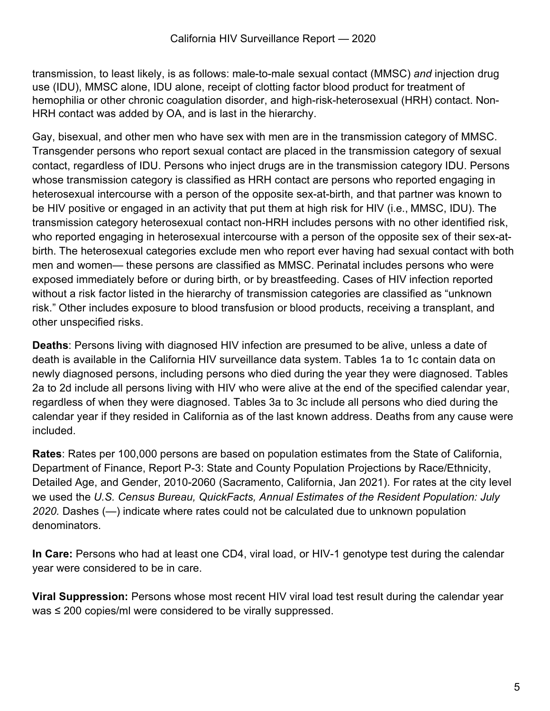transmission, to least likely, is as follows: male-to-male sexual contact (MMSC) *and* injection drug use (IDU), MMSC alone, IDU alone, receipt of clotting factor blood product for treatment of hemophilia or other chronic coagulation disorder, and high-risk-heterosexual (HRH) contact. Non-HRH contact was added by OA, and is last in the hierarchy.

Gay, bisexual, and other men who have sex with men are in the transmission category of MMSC. Transgender persons who report sexual contact are placed in the transmission category of sexual contact, regardless of IDU. Persons who inject drugs are in the transmission category IDU. Persons whose transmission category is classified as HRH contact are persons who reported engaging in heterosexual intercourse with a person of the opposite sex-at-birth, and that partner was known to be HIV positive or engaged in an activity that put them at high risk for HIV (i.e., MMSC, IDU). The transmission category heterosexual contact non-HRH includes persons with no other identified risk, who reported engaging in heterosexual intercourse with a person of the opposite sex of their sex-atbirth. The heterosexual categories exclude men who report ever having had sexual contact with both men and women— these persons are classified as MMSC. Perinatal includes persons who were exposed immediately before or during birth, or by breastfeeding. Cases of HIV infection reported without a risk factor listed in the hierarchy of transmission categories are classified as "unknown risk." Other includes exposure to blood transfusion or blood products, receiving a transplant, and other unspecified risks.

**Deaths**: Persons living with diagnosed HIV infection are presumed to be alive, unless a date of death is available in the California HIV surveillance data system. Tables 1a to 1c contain data on newly diagnosed persons, including persons who died during the year they were diagnosed. Tables 2a to 2d include all persons living with HIV who were alive at the end of the specified calendar year, regardless of when they were diagnosed. Tables 3a to 3c include all persons who died during the calendar year if they resided in California as of the last known address. Deaths from any cause were included.

**Rates**: Rates per 100,000 persons are based on population estimates from the State of California, Department of Finance, Report P-3: State and County Population Projections by Race/Ethnicity, Detailed Age, and Gender, 2010-2060 (Sacramento, California, Jan 2021). For rates at the city level we used the *U.S. Census Bureau, QuickFacts, Annual Estimates of the Resident Population: July 2020.* Dashes (—) indicate where rates could not be calculated due to unknown population denominators.

**In Care:** Persons who had at least one CD4, viral load, or HIV-1 genotype test during the calendar year were considered to be in care.

**Viral Suppression:** Persons whose most recent HIV viral load test result during the calendar year was ≤ 200 copies/ml were considered to be virally suppressed.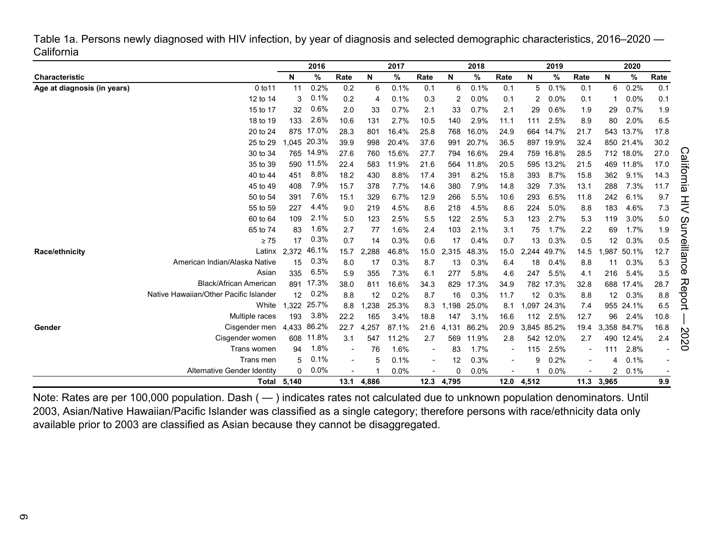<span id="page-5-0"></span>Table 1a. Persons newly diagnosed with HIV infection, by year of diagnosis and selected demographic characteristics, 2016–2020 — **California** 

|                             |                                        |                    | 2016      |                          |            | 2017  |                |            | 2018  |                          |            | 2019  |                          |                | 2020        |      |             |
|-----------------------------|----------------------------------------|--------------------|-----------|--------------------------|------------|-------|----------------|------------|-------|--------------------------|------------|-------|--------------------------|----------------|-------------|------|-------------|
| <b>Characteristic</b>       |                                        | N                  | %         | Rate                     | N          | %     | Rate           | N          | %     | Rate                     | N          | %     | Rate                     | N              | %           | Rate |             |
| Age at diagnosis (in years) | 0 to 11                                | 11                 | 0.2%      | 0.2                      | 6          | 0.1%  | 0.1            | 6          | 0.1%  | 0.1                      | 5          | 0.1%  | 0.1                      | 6              | 0.2%        | 0.1  |             |
|                             | 12 to 14                               | 3                  | 0.1%      | 0.2                      | 4          | 0.1%  | 0.3            | 2          | 0.0%  | 0.1                      | 2          | 0.0%  | 0.1                      | 1              | 0.0%        | 0.1  |             |
|                             | 15 to 17                               | 32                 | 0.6%      | 2.0                      | 33         | 0.7%  | 2.1            | 33         | 0.7%  | 2.1                      | 29         | 0.6%  | 1.9                      | 29             | 0.7%        | 1.9  |             |
|                             | 18 to 19                               | 133                | 2.6%      | 10.6                     | 131        | 2.7%  | 10.5           | 140        | 2.9%  | 11.1                     | 111        | 2.5%  | 8.9                      | 80             | 2.0%        | 6.5  |             |
|                             | 20 to 24                               | 875                | 17.0%     | 28.3                     | 801        | 16.4% | 25.8           | 768        | 16.0% | 24.9                     | 664        | 14.7% | 21.7                     |                | 543 13.7%   | 17.8 |             |
|                             | 25 to 29                               | 1.045              | 20.3%     | 39.9                     | 998        | 20.4% | 37.6           | 991        | 20.7% | 36.5                     | 897        | 19.9% | 32.4                     |                | 850 21.4%   | 30.2 |             |
|                             | 30 to 34                               |                    | 765 14.9% | 27.6                     | 760        | 15.6% | 27.7           | 794        | 16.6% | 29.4                     | 759        | 16.8% | 28.5                     |                | 712 18.0%   | 27.0 |             |
|                             | 35 to 39                               |                    | 590 11.5% | 22.4                     | 583        | 11.9% | 21.6           | 564        | 11.8% | 20.5                     | 595        | 13.2% | 21.5                     |                | 469 11.8%   | 17.0 |             |
|                             | 40 to 44                               | 451                | 8.8%      | 18.2                     | 430        | 8.8%  | 17.4           | 391        | 8.2%  | 15.8                     | 393        | 8.7%  | 15.8                     | 362            | 9.1%        | 14.3 |             |
|                             | 45 to 49                               | 408                | 7.9%      | 15.7                     | 378        | 7.7%  | 14.6           | 380        | 7.9%  | 14.8                     | 329        | 7.3%  | 13.1                     | 288            | 7.3%        | 11.7 | California  |
|                             | 50 to 54                               | 391                | 7.6%      | 15.1                     | 329        | 6.7%  | 12.9           | 266        | 5.5%  | 10.6                     | 293        | 6.5%  | 11.8                     | 242            | 6.1%        | 9.7  |             |
|                             | 55 to 59                               | 227                | 4.4%      | 9.0                      | 219        | 4.5%  | 8.6            | 218        | 4.5%  | 8.6                      | 224        | 5.0%  | 8.8                      | 183            | 4.6%        | 7.3  | ミ           |
|                             | 60 to 64                               | 109                | 2.1%      | 5.0                      | 123        | 2.5%  | 5.5            | 122        | 2.5%  | 5.3                      | 123        | 2.7%  | 5.3                      | 119            | 3.0%        | 5.0  | S           |
|                             | 65 to 74                               | 83                 | 1.6%      | 2.7                      | 77         | 1.6%  | 2.4            | 103        | 2.1%  | 3.1                      | 75         | 1.7%  | 2.2                      | 69             | 1.7%        | 1.9  |             |
|                             | $\geq 75$                              | 17                 | 0.3%      | 0.7                      | 14         | 0.3%  | 0.6            | 17         | 0.4%  | 0.7                      | 13         | 0.3%  | 0.5                      | 12             | 0.3%        | 0.5  | urveillance |
| <b>Race/ethnicity</b>       | Latinx                                 | 2,372              | 46.1%     | 15.7                     | 2,288      | 46.8% | 15.0           | 2,315      | 48.3% | 15.0                     | 2,244      | 49.7% | 14.5                     | .987           | 50.1%       | 12.7 |             |
|                             | American Indian/Alaska Native          | 15                 | 0.3%      | 8.0                      | 17         | 0.3%  | 8.7            | 13         | 0.3%  | 6.4                      | 18         | 0.4%  | 8.8                      | 11             | 0.3%        | 5.3  |             |
|                             | Asian                                  | 335                | 6.5%      | 5.9                      | 355        | 7.3%  | 6.1            | 277        | 5.8%  | 4.6                      | 247        | 5.5%  | 4.1                      | 216            | 5.4%        | 3.5  |             |
|                             | <b>Black/African American</b>          | 891                | 17.3%     | 38.0                     | 811        | 16.6% | 34.3           | 829        | 17.3% | 34.9                     | 782        | 17.3% | 32.8                     |                | 688 17.4%   | 28.7 |             |
|                             | Native Hawaiian/Other Pacific Islander | 12                 | 0.2%      | 8.8                      | 12         | 0.2%  | 8.7            | 16         | 0.3%  | 11.7                     | 12         | 0.3%  | 8.8                      | 12             | 0.3%        | 8.8  | Report      |
|                             | White                                  | 1.322              | 25.7%     | 8.8                      | ,238       | 25.3% | 8.3            | .198       | 25.0% | 8.1                      | 1,097      | 24.3% | 7.4                      |                | 955 24.1%   | 6.5  |             |
|                             | Multiple races                         | 193                | 3.8%      | 22.2                     | 165        | 3.4%  | 18.8           | 147        | 3.1%  | 16.6                     | 112        | 2.5%  | 12.7                     | 96             | 2.4%        | 10.8 |             |
| Gender                      | Cisgender men                          | 4.433              | 86.2%     | 22.7                     | 4,257      | 87.1% | 21.6           | 4,131      | 86.2% | 20.9                     | 3,845      | 85.2% | 19.4                     |                | 3,358 84.7% | 16.8 | N           |
|                             | Cisgender women                        | 608                | 11.8%     | 3.1                      | 547        | 11.2% | 2.7            | 569        | 11.9% | 2.8                      | 542        | 12.0% | 2.7                      | 490            | 12.4%       | 2.4  | 020         |
|                             | Trans women                            | 94                 | 1.8%      | $\overline{\phantom{a}}$ | 76         | 1.6%  |                | 83         | 1.7%  |                          | 115        | 2.5%  | $\overline{\phantom{a}}$ | 111            | 2.8%        |      |             |
|                             | Trans men                              | 5                  | 0.1%      | $\overline{\phantom{a}}$ | 5          | 0.1%  | $\blacksquare$ | 12         | 0.3%  | $\overline{\phantom{a}}$ | 9          | 0.2%  | $\blacksquare$           | 4              | 0.1%        |      |             |
|                             | Alternative Gender Identity            | $\Omega$           | 0.0%      |                          |            | 0.0%  |                | 0          | 0.0%  |                          |            | 0.0%  |                          | $\overline{2}$ | 0.1%        |      |             |
|                             |                                        | <b>Total 5,140</b> |           |                          | 13.1 4,886 |       |                | 12.3 4,795 |       |                          | 12.0 4,512 |       |                          | 11.3 3,965     |             | 9.9  |             |

Note: Rates are per 100,000 population. Dash ( — ) indicates rates not calculated due to unknown population denominators. Until 2003, Asian/Native Hawaiian/Pacific Islander was classified as a single category; therefore persons with race/ethnicity data only available prior to 2003 are classified as Asian because they cannot be disaggregated.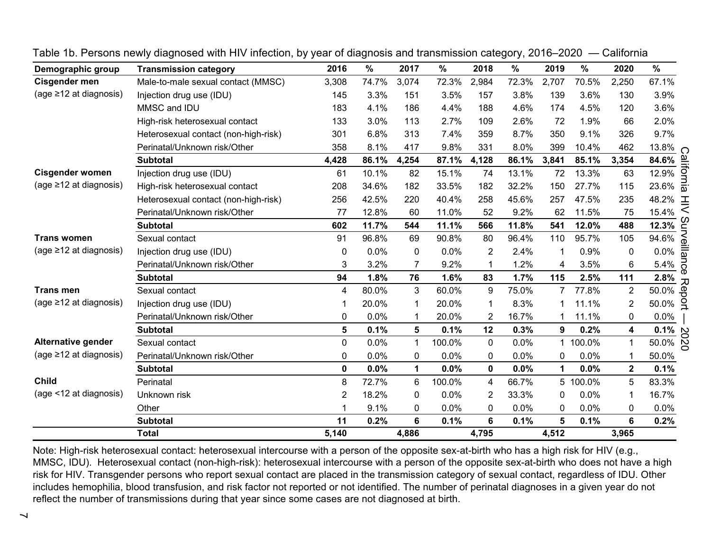| Demographic group            | <b>Transmission category</b>         | 2016  | %     | 2017         | $\%$   | 2018           | %     | 2019  | $\%$     | 2020           | $\frac{9}{6}$                                                     |
|------------------------------|--------------------------------------|-------|-------|--------------|--------|----------------|-------|-------|----------|----------------|-------------------------------------------------------------------|
| <b>Cisgender men</b>         | Male-to-male sexual contact (MMSC)   | 3,308 | 74.7% | 3,074        | 72.3%  | 2,984          | 72.3% | 2,707 | 70.5%    | 2,250          | 67.1%                                                             |
| (age $\geq$ 12 at diagnosis) | Injection drug use (IDU)             | 145   | 3.3%  | 151          | 3.5%   | 157            | 3.8%  | 139   | 3.6%     | 130            | 3.9%                                                              |
|                              | MMSC and IDU                         | 183   | 4.1%  | 186          | 4.4%   | 188            | 4.6%  | 174   | 4.5%     | 120            | 3.6%                                                              |
|                              | High-risk heterosexual contact       | 133   | 3.0%  | 113          | 2.7%   | 109            | 2.6%  | 72    | 1.9%     | 66             | 2.0%                                                              |
|                              | Heterosexual contact (non-high-risk) | 301   | 6.8%  | 313          | 7.4%   | 359            | 8.7%  | 350   | 9.1%     | 326            | 9.7%                                                              |
|                              | Perinatal/Unknown risk/Other         | 358   | 8.1%  | 417          | 9.8%   | 331            | 8.0%  | 399   | 10.4%    | 462            | 13.8%<br>$\Omega$                                                 |
|                              | <b>Subtotal</b>                      | 4,428 | 86.1% | 4,254        | 87.1%  | 4,128          | 86.1% | 3,841 | 85.1%    | 3,354          | 84.6%                                                             |
| <b>Cisgender women</b>       | Injection drug use (IDU)             | 61    | 10.1% | 82           | 15.1%  | 74             | 13.1% | 72    | 13.3%    | 63             | 12.9% 으                                                           |
| (age ≥12 at diagnosis)       | High-risk heterosexual contact       | 208   | 34.6% | 182          | 33.5%  | 182            | 32.2% | 150   | 27.7%    | 115            | $23.6\%$ $\frac{2}{50}$                                           |
|                              | Heterosexual contact (non-high-risk) | 256   | 42.5% | 220          | 40.4%  | 258            | 45.6% | 257   | 47.5%    | 235            | 48.2%<br>工                                                        |
|                              | Perinatal/Unknown risk/Other         | 77    | 12.8% | 60           | 11.0%  | 52             | 9.2%  | 62    | 11.5%    | 75             | $\,<\,$<br>15.4%                                                  |
|                              | <b>Subtotal</b>                      | 602   | 11.7% | 544          | 11.1%  | 566            | 11.8% | 541   | 12.0%    | 488            | CO.<br>12.3% $\approx$                                            |
| <b>Trans women</b>           | Sexual contact                       | 91    | 96.8% | 69           | 90.8%  | 80             | 96.4% | 110   | 95.7%    | 105            | 94.6% $\frac{5}{9}$                                               |
| (age $\geq$ 12 at diagnosis) | Injection drug use (IDU)             | 0     | 0.0%  | $\mathbf{0}$ | 0.0%   | 2              | 2.4%  | 1     | 0.9%     | 0              | $\overline{\overline{\omega}}$<br>0.0%                            |
|                              | Perinatal/Unknown risk/Other         | 3     | 3.2%  |              | 9.2%   | 1              | 1.2%  | 4     | 3.5%     | 6              | $5.4\%$ $\frac{1}{2}$                                             |
|                              | <b>Subtotal</b>                      | 94    | 1.8%  | 76           | 1.6%   | 83             | 1.7%  | 115   | 2.5%     | 111            | 2.8%<br>刀                                                         |
| <b>Trans men</b>             | Sexual contact                       | 4     | 80.0% | 3            | 60.0%  | 9              | 75.0% |       | 77.8%    | $\overline{2}$ | $50.0\%$ $\frac{6}{5}$                                            |
| (age ≥12 at diagnosis)       | Injection drug use (IDU)             |       | 20.0% |              | 20.0%  | 1              | 8.3%  |       | 11.1%    | $\overline{2}$ | 50.0% 요                                                           |
|                              | Perinatal/Unknown risk/Other         | 0     | 0.0%  |              | 20.0%  | $\overline{2}$ | 16.7% |       | 11.1%    | 0              | 0.0%                                                              |
|                              | <b>Subtotal</b>                      | 5     | 0.1%  | 5            | 0.1%   | 12             | 0.3%  | 9     | 0.2%     | 4              |                                                                   |
| Alternative gender           | Sexual contact                       | 0     | 0.0%  | 1            | 100.0% | 0              | 0.0%  |       | 1 100.0% | $\mathbf 1$    | $\frac{0.1\%}{50.0\%}\overset{\sim}{\underset{\smile}{\bigcirc}}$ |
| (age $\geq$ 12 at diagnosis) | Perinatal/Unknown risk/Other         | 0     | 0.0%  | 0            | 0.0%   | 0              | 0.0%  | 0     | 0.0%     | 1              | 50.0%                                                             |
|                              | <b>Subtotal</b>                      | 0     | 0.0%  | 1            | 0.0%   | 0              | 0.0%  | 1     | 0.0%     | $\mathbf{2}$   | 0.1%                                                              |
| <b>Child</b>                 | Perinatal                            | 8     | 72.7% | 6            | 100.0% | 4              | 66.7% | 5     | 100.0%   | 5              | 83.3%                                                             |
| (age <12 at diagnosis)       | Unknown risk                         | 2     | 18.2% | 0            | 0.0%   | 2              | 33.3% | 0     | 0.0%     | 1              | 16.7%                                                             |
|                              | Other                                |       | 9.1%  | 0            | 0.0%   | 0              | 0.0%  | 0     | 0.0%     | 0              | 0.0%                                                              |
|                              | <b>Subtotal</b>                      | 11    | 0.2%  | 6            | 0.1%   | 6              | 0.1%  | 5     | 0.1%     | 6              | 0.2%                                                              |
|                              | <b>Total</b>                         | 5,140 |       | 4,886        |        | 4,795          |       | 4,512 |          | 3,965          |                                                                   |

<span id="page-6-0"></span>Table 1b. Persons newly diagnosed with HIV infection, by year of diagnosis and transmission category, 2016–2020 — California

Note: High-risk heterosexual contact: heterosexual intercourse with a person of the opposite sex-at-birth who has a high risk for HIV (e.g., MMSC, IDU). Heterosexual contact (non-high-risk): heterosexual intercourse with a person of the opposite sex-at-birth who does not have a high risk for HIV. Transgender persons who report sexual contact are placed in the transmission category of sexual contact, regardless of IDU. Other includes hemophilia, blood transfusion, and risk factor not reported or not identified. The number of perinatal diagnoses in a given year do not reflect the number of transmissions during that year since some cases are not diagnosed at birth.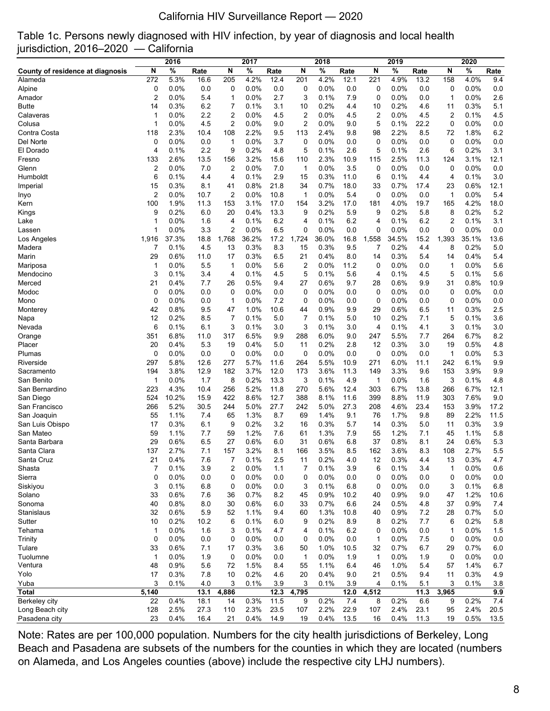<span id="page-7-0"></span>Table 1c. Persons newly diagnosed with HIV infection, by year of diagnosis and local health jurisdiction, 2016–2020 — California

|                                         |       | 2016    |      |                         | 2017    |      |                | 2018    |      |                | 2019    |      |       | 2020    |      |
|-----------------------------------------|-------|---------|------|-------------------------|---------|------|----------------|---------|------|----------------|---------|------|-------|---------|------|
| <b>County of residence at diagnosis</b> | N     | %       | Rate | N                       | %       | Rate | N              | %       | Rate | N              | %       | Rate | N     | %       | Rate |
| Alameda                                 | 272   | 5.3%    | 16.6 | 205                     | 4.2%    | 12.4 | 201            | 4.2%    | 12.1 | 221            | 4.9%    | 13.2 | 158   | 4.0%    | 9.4  |
| Alpine                                  | 0     | 0.0%    | 0.0  | 0                       | $0.0\%$ | 0.0  | 0              | 0.0%    | 0.0  | 0              | 0.0%    | 0.0  | 0     | 0.0%    | 0.0  |
| Amador                                  | 2     | 0.0%    | 5.4  | 1                       | 0.0%    | 2.7  | 3              | 0.1%    | 7.9  | 0              | 0.0%    | 0.0  | 1     | 0.0%    | 2.6  |
| Butte                                   | 14    | 0.3%    | 6.2  | 7                       | 0.1%    | 3.1  | 10             | 0.2%    | 4.4  | 10             | 0.2%    | 4.6  | 11    | 0.3%    | 5.1  |
| Calaveras                               | 1     | 0.0%    | 2.2  | $\overline{\mathbf{c}}$ | 0.0%    | 4.5  | $\overline{2}$ | 0.0%    | 4.5  | 2              | 0.0%    | 4.5  | 2     | 0.1%    | 4.5  |
| Colusa                                  | 1     | $0.0\%$ | 4.5  | 2                       | 0.0%    | 9.0  | 2              | $0.0\%$ | 9.0  | 5              | 0.1%    | 22.2 | 0     | 0.0%    | 0.0  |
| Contra Costa                            | 118   | 2.3%    | 10.4 | 108                     | 2.2%    | 9.5  | 113            | 2.4%    | 9.8  | 98             | 2.2%    | 8.5  | 72    | 1.8%    | 6.2  |
| Del Norte                               | 0     | 0.0%    | 0.0  | $\mathbf{1}$            | $0.0\%$ | 3.7  | 0              | 0.0%    | 0.0  | 0              | 0.0%    | 0.0  | 0     | 0.0%    | 0.0  |
| El Dorado                               | 4     | 0.1%    | 2.2  | 9                       | 0.2%    | 4.8  | 5              | 0.1%    | 2.6  | 5              | 0.1%    | 2.6  | 6     | 0.2%    | 3.1  |
| Fresno                                  | 133   | 2.6%    | 13.5 | 156                     | 3.2%    | 15.6 | 110            | 2.3%    | 10.9 | 115            | 2.5%    | 11.3 | 124   | 3.1%    | 12.1 |
| Glenn                                   | 2     | $0.0\%$ | 7.0  | 2                       | 0.0%    | 7.0  | 1              | 0.0%    | 3.5  | 0              | 0.0%    | 0.0  | 0     | 0.0%    | 0.0  |
| Humboldt                                | 6     | 0.1%    | 4.4  | 4                       | 0.1%    | 2.9  | 15             | 0.3%    | 11.0 | 6              | 0.1%    | 4.4  | 4     | 0.1%    | 3.0  |
| Imperial                                | 15    | 0.3%    | 8.1  | 41                      | 0.8%    | 21.8 | 34             | 0.7%    | 18.0 | 33             | 0.7%    | 17.4 | 23    | 0.6%    | 12.1 |
| Inyo                                    | 2     | 0.0%    | 10.7 | 2                       | 0.0%    | 10.8 | 1              | $0.0\%$ | 5.4  | 0              | 0.0%    | 0.0  | 1     | 0.0%    | 5.4  |
| Kern                                    | 100   | 1.9%    | 11.3 | 153                     | 3.1%    | 17.0 | 154            | 3.2%    | 17.0 | 181            | 4.0%    | 19.7 | 165   | 4.2%    | 18.0 |
| Kings                                   | 9     | 0.2%    | 6.0  | 20                      | 0.4%    | 13.3 | 9              | 0.2%    | 5.9  | 9              | 0.2%    | 5.8  | 8     | 0.2%    | 5.2  |
| Lake                                    | 1     | 0.0%    | 1.6  | 4                       | 0.1%    | 6.2  | 4              | 0.1%    | 6.2  | 4              | 0.1%    | 6.2  | 2     | 0.1%    | 3.1  |
| Lassen                                  | 1     | 0.0%    | 3.3  | 2                       | $0.0\%$ | 6.5  | 0              | $0.0\%$ | 0.0  | 0              | 0.0%    | 0.0  | 0     | 0.0%    | 0.0  |
| Los Angeles                             | 1,916 | 37.3%   | 18.8 | 1,768                   | 36.2%   | 17.2 | 1,724          | 36.0%   | 16.8 | 1,558          | 34.5%   | 15.2 | 1,393 | 35.1%   | 13.6 |
| Madera                                  | 7     | 0.1%    | 4.5  | 13                      | 0.3%    | 8.3  | 15             | 0.3%    | 9.5  | 7              | 0.2%    | 4.4  | 8     | 0.2%    | 5.0  |
| Marin                                   | 29    | 0.6%    | 11.0 | 17                      | 0.3%    | 6.5  | 21             | 0.4%    | 8.0  | 14             | 0.3%    | 5.4  | 14    | 0.4%    | 5.4  |
| Mariposa                                | 1     | 0.0%    | 5.5  | 1                       | 0.0%    | 5.6  | 2              | 0.0%    | 11.2 | 0              | 0.0%    | 0.0  | 1     | 0.0%    | 5.6  |
| Mendocino                               | 3     | 0.1%    | 3.4  | 4                       | 0.1%    | 4.5  | 5              | 0.1%    | 5.6  | 4              | 0.1%    | 4.5  | 5     | 0.1%    | 5.6  |
| Merced                                  | 21    | 0.4%    | 7.7  | 26                      | 0.5%    | 9.4  | 27             | 0.6%    | 9.7  | 28             | 0.6%    | 9.9  | 31    | 0.8%    | 10.9 |
| Modoc                                   | 0     | 0.0%    | 0.0  | 0                       | 0.0%    | 0.0  | 0              | 0.0%    | 0.0  | 0              | $0.0\%$ | 0.0  | 0     | $0.0\%$ | 0.0  |
| Mono                                    | 0     | 0.0%    | 0.0  | 1                       | 0.0%    | 7.2  | 0              | 0.0%    | 0.0  | 0              | 0.0%    | 0.0  | 0     | 0.0%    | 0.0  |
| Monterey                                | 42    | 0.8%    | 9.5  | 47                      | 1.0%    | 10.6 | 44             | 0.9%    | 9.9  | 29             | 0.6%    | 6.5  | 11    | 0.3%    | 2.5  |
| Napa                                    | 12    | 0.2%    | 8.5  | 7                       | 0.1%    | 5.0  | 7              | 0.1%    | 5.0  | 10             | 0.2%    | 7.1  | 5     | 0.1%    | 3.6  |
| Nevada                                  | 6     | 0.1%    | 6.1  | 3                       | 0.1%    | 3.0  | 3              | $0.1\%$ | 3.0  | 4              | 0.1%    | 4.1  | 3     | 0.1%    | 3.0  |
| Orange                                  | 351   | 6.8%    | 11.0 | 317                     | 6.5%    | 9.9  | 288            | $6.0\%$ | 9.0  | 247            | 5.5%    | 7.7  | 264   | 6.7%    | 8.2  |
| Placer                                  | 20    | 0.4%    | 5.3  | 19                      | 0.4%    | 5.0  | 11             | 0.2%    | 2.8  | 12             | 0.3%    | 3.0  | 19    | 0.5%    | 4.8  |
| Plumas                                  | 0     | 0.0%    | 0.0  | 0                       | 0.0%    | 0.0  | 0              | 0.0%    | 0.0  | 0              | 0.0%    | 0.0  | 1     | 0.0%    | 5.3  |
| Riverside                               | 297   | 5.8%    | 12.6 | 277                     | 5.7%    | 11.6 | 264            | 5.5%    | 10.9 | 271            | 6.0%    | 11.1 | 242   | 6.1%    | 9.9  |
| Sacramento                              | 194   | 3.8%    | 12.9 | 182                     | 3.7%    | 12.0 | 173            | 3.6%    | 11.3 | 149            | 3.3%    | 9.6  | 153   | 3.9%    | 9.9  |
| San Benito                              | 1     | 0.0%    | 1.7  | 8                       | 0.2%    | 13.3 | 3              | 0.1%    | 4.9  | $\mathbf{1}$   | 0.0%    | 1.6  | 3     | 0.1%    | 4.8  |
| San Bernardino                          | 223   | 4.3%    | 10.4 | 256                     | 5.2%    | 11.8 | 270            | 5.6%    | 12.4 | 303            | 6.7%    | 13.8 | 266   | 6.7%    | 12.1 |
| San Diego                               | 524   | 10.2%   | 15.9 | 422                     | 8.6%    | 12.7 | 388            | 8.1%    | 11.6 | 399            | 8.8%    | 11.9 | 303   | 7.6%    | 9.0  |
| San Francisco                           | 266   | 5.2%    | 30.5 | 244                     | 5.0%    | 27.7 | 242            | 5.0%    | 27.3 | 208            | 4.6%    | 23.4 | 153   | 3.9%    | 17.2 |
| San Joaquin                             | 55    | 1.1%    | 7.4  | 65                      | 1.3%    | 8.7  | 69             | 1.4%    | 9.1  | 76             | 1.7%    | 9.8  | 89    | 2.2%    | 11.5 |
| San Luis Obispo                         | 17    | 0.3%    | 6.1  | 9                       | 0.2%    | 3.2  | 16             | 0.3%    | 5.7  | 14             | 0.3%    | 5.0  | 11    | 0.3%    | 3.9  |
| San Mateo                               | 59    | 1.1%    | 7.7  | 59                      | 1.2%    | 7.6  | 61             | 1.3%    | 7.9  | 55             | 1.2%    | 7.1  | 45    | 1.1%    | 5.8  |
| Santa Barbara                           | 29    | 0.6%    | 6.5  | 27                      | 0.6%    | 6.0  | 31             | 0.6%    | 6.8  | 37             | 0.8%    | 8.1  | 24    | 0.6%    | 5.3  |
| Santa Clara                             | 137   | 2.7%    | 7.1  | 157                     | 3.2%    | 8.1  | 166            | 3.5%    | 8.5  | 162            | 3.6%    | 8.3  | 108   | 2.7%    | 5.5  |
| Santa Cruz                              | 21    | 0.4%    | 7.6  | 7                       | 0.1%    | 2.5  | 11             | 0.2%    | 4.0  | 12             | 0.3%    | 4.4  | 13    | 0.3%    | 4.7  |
| Shasta                                  | 7     | 0.1%    | 3.9  | 2                       | 0.0%    | 1.1  | 7              | 0.1%    | 3.9  | 6              | 0.1%    | 3.4  | 1     | 0.0%    | 0.6  |
| Sierra                                  | 0     | 0.0%    | 0.0  | 0                       | 0.0%    | 0.0  | 0              | 0.0%    | 0.0  | 0              | 0.0%    | 0.0  | 0     | 0.0%    | 0.0  |
| Siskiyou                                | 3     | 0.1%    | 6.8  | 0                       | 0.0%    | 0.0  | 3              | 0.1%    | 6.8  | 0              | 0.0%    | 0.0  | 3     | 0.1%    | 6.8  |
| Solano                                  | 33    | 0.6%    | 7.6  | 36                      | 0.7%    | 8.2  | 45             | 0.9%    | 10.2 | 40             | 0.9%    | 9.0  | 47    | 1.2%    | 10.6 |
| Sonoma                                  | 40    | 0.8%    | 8.0  | 30                      | 0.6%    | 6.0  | 33             | 0.7%    | 6.6  | 24             | 0.5%    | 4.8  | 37    | 0.9%    | 7.4  |
| Stanislaus                              | 32    | 0.6%    | 5.9  | 52                      | 1.1%    | 9.4  | 60             | 1.3%    | 10.8 | 40             | 0.9%    | 7.2  | 28    | 0.7%    | 5.0  |
| Sutter                                  | 10    | 0.2%    | 10.2 | 6                       | 0.1%    | 6.0  | 9              | 0.2%    | 8.9  | 8              | 0.2%    | 7.7  | 6     | 0.2%    | 5.8  |
| Tehama                                  | 1     | 0.0%    | 1.6  | 3                       | 0.1%    | 4.7  | 4              | 0.1%    | 6.2  | 0              | 0.0%    | 0.0  | 1     | 0.0%    | 1.5  |
| Trinity                                 | 0     | 0.0%    | 0.0  | 0                       | 0.0%    | 0.0  | 0              | 0.0%    | 0.0  | $\mathbf{1}$   | 0.0%    | 7.5  | 0     | 0.0%    | 0.0  |
| Tulare                                  | 33    | 0.6%    | 7.1  | 17                      | 0.3%    | 3.6  | 50             | 1.0%    | 10.5 | 32             | 0.7%    | 6.7  | 29    | 0.7%    | 6.0  |
| Tuolumne                                | 1     | 0.0%    | 1.9  | 0                       | 0.0%    | 0.0  | $\mathbf{1}$   | $0.0\%$ | 1.9  | $\mathbf{1}$   | 0.0%    | 1.9  | 0     | 0.0%    | 0.0  |
| Ventura                                 | 48    | 0.9%    | 5.6  | 72                      | 1.5%    | 8.4  | 55             | 1.1%    | 6.4  | 46             | 1.0%    | 5.4  | 57    | 1.4%    | 6.7  |
| Yolo                                    | 17    | 0.3%    | 7.8  | 10                      | 0.2%    | 4.6  | 20             | 0.4%    | 9.0  | 21             | 0.5%    | 9.4  | 11    | 0.3%    | 4.9  |
| Yuba                                    | 3     | 0.1%    | 4.0  | 3                       | 0.1%    | 3.9  | 3              | 0.1%    | 3.9  | $\overline{4}$ | 0.1%    | 5.1  | 3     | 0.1%    | 3.8  |
| <b>Total</b>                            | 5,140 |         | 13.1 | 4,886                   |         | 12.3 | 4,795          |         | 12.0 | 4,512          |         | 11.3 | 3,965 |         | 9.9  |
| Berkeley city                           | 22    | 0.4%    | 18.1 | 14                      | 0.3%    | 11.5 | 9              | 0.2%    | 7.4  | 8              | 0.2%    | 6.6  | 9     | 0.2%    | 7.4  |
| Long Beach city                         | 128   | 2.5%    | 27.3 | 110                     | 2.3%    | 23.5 | 107            | 2.2%    | 22.9 | 107            | 2.4%    | 23.1 | 95    | 2.4%    | 20.5 |
| Pasadena city                           | 23    | 0.4%    | 16.4 | 21                      | 0.4%    | 14.9 | 19             | 0.4%    | 13.5 | 16             | 0.4%    | 11.3 | 19    | 0.5%    | 13.5 |

Note: Rates are per 100,000 population. Numbers for the city health jurisdictions of Berkeley, Long Beach and Pasadena are subsets of the numbers for the counties in which they are located (numbers on Alameda, and Los Angeles counties (above) include the respective city LHJ numbers).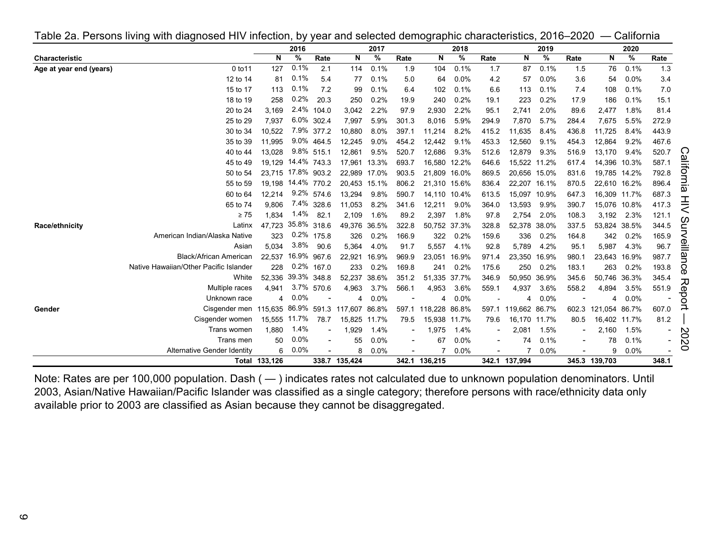|                         |                                        |                    | 2016        |            |                           | 2017  |       |                     | 2018  |       |                     | 2019  |       |               | 2020         |       |                       |
|-------------------------|----------------------------------------|--------------------|-------------|------------|---------------------------|-------|-------|---------------------|-------|-------|---------------------|-------|-------|---------------|--------------|-------|-----------------------|
| Characteristic          |                                        | N                  | %           | Rate       | N                         | %     | Rate  | N                   | %     | Rate  | N                   | %     | Rate  | N             | %            | Rate  |                       |
| Age at year end (years) | 0 to 11                                | 127                | 0.1%        | 2.1        | 114                       | 0.1%  | 1.9   | 104                 | 0.1%  | 1.7   | 87                  | 0.1%  | 1.5   | 76            | 0.1%         | 1.3   |                       |
|                         | 12 to 14                               | 81                 | 0.1%        | 5.4        | 77                        | 0.1%  | 5.0   | 64                  | 0.0%  | 4.2   | 57                  | 0.0%  | 3.6   | 54            | 0.0%         | 3.4   |                       |
|                         | 15 to 17                               | 113                | 0.1%        | 7.2        | 99                        | 0.1%  | 6.4   | 102                 | 0.1%  | 6.6   | 113                 | 0.1%  | 7.4   | 108           | 0.1%         | 7.0   |                       |
|                         | 18 to 19                               | 258                | 0.2%        | 20.3       | 250                       | 0.2%  | 19.9  | 240                 | 0.2%  | 19.1  | 223                 | 0.2%  | 17.9  | 186           | 0.1%         | 15.1  |                       |
|                         | 20 to 24                               | 3.169              | 2.4%        | 104.0      | 3,042                     | 2.2%  | 97.9  | 2,930               | 2.2%  | 95.1  | 2,741               | 2.0%  | 89.6  | 2,477         | 1.8%         | 81.4  |                       |
|                         | 25 to 29                               | 7.937              | 6.0%        | 302.4      | 7,997                     | 5.9%  | 301.3 | 8,016               | 5.9%  | 294.9 | 7,870               | 5.7%  | 284.4 | 7,675         | 5.5%         | 272.9 |                       |
|                         | 30 to 34                               | 10,522             |             | 7.9% 377.2 | 10,880                    | 8.0%  | 397.1 | 11,214              | 8.2%  | 415.2 | 11,635              | 8.4%  | 436.8 | 11,725        | 8.4%         | 443.9 |                       |
|                         | 35 to 39                               | 11.995             |             | 9.0% 464.5 | 12,245                    | 9.0%  | 454.2 | 12,442              | 9.1%  | 453.3 | 12,560              | 9.1%  | 454.3 | 12,864        | 9.2%         | 467.6 |                       |
|                         | 40 to 44                               | 13.028             |             | 9.8% 515.1 | 12,861                    | 9.5%  | 520.7 | 12,686              | 9.3%  | 512.6 | 12,879              | 9.3%  | 516.9 | 13,170        | 9.4%         | 520.7 |                       |
|                         | 45 to 49                               | 19.129             | 14.4% 743.3 |            | 17,961                    | 13.3% | 693.7 | 16,580 12.2%        |       | 646.6 | 15,522 11.2%        |       | 617.4 | 14,396        | 10.3%        | 587.1 |                       |
|                         | 50 to 54                               | 23,715 17.8% 903.2 |             |            | 22,989 17.0%              |       | 903.5 | 21,809 16.0%        |       | 869.5 | 20,656 15.0%        |       | 831.6 |               | 19,785 14.2% | 792.8 |                       |
|                         | 55 to 59                               | 19,198 14.4% 770.2 |             |            | 20,453 15.1%              |       | 806.2 | 21,310 15.6%        |       | 836.4 | 22,207 16.1%        |       | 870.5 | 22,610 16.2%  |              | 896.4 | California            |
|                         | 60 to 64                               | 12,214             |             | 9.2% 574.6 | 13,294                    | 9.8%  | 590.7 | 14,110 10.4%        |       | 613.5 | 15,097 10.9%        |       | 647.3 | 16,309 11.7%  |              | 687.3 |                       |
|                         | 65 to 74                               | 9.806              |             | 7.4% 328.6 | 11,053                    | 8.2%  | 341.6 | 12,211              | 9.0%  | 364.0 | 13,593              | 9.9%  | 390.7 | 15,076 10.8%  |              | 417.3 | エ<br>N                |
|                         | $\geq 75$                              | 1.834              | 1.4%        | 82.1       | 2,109                     | 1.6%  | 89.2  | 2,397               | 1.8%  | 97.8  | 2,754               | 2.0%  | 108.3 | 3,192         | 2.3%         | 121.1 |                       |
| Race/ethnicity          | Latinx                                 | 47,723             | 35.8% 318.6 |            | 49,376                    | 36.5% | 322.8 | 50,752 37.3%        |       | 328.8 | 52,378 38.0%        |       | 337.5 | 53,824 38.5%  |              | 344.5 | Surv                  |
|                         | American Indian/Alaska Native          | 323                |             | 0.2% 175.8 | 326                       | 0.2%  | 166.9 | 322                 | 0.2%  | 159.6 | 336                 | 0.2%  | 164.8 | 342           | 0.2%         | 165.9 |                       |
|                         | Asian                                  | 5.034              | 3.8%        | 90.6       | 5,364                     | 4.0%  | 91.7  | 5,557               | 4.1%  | 92.8  | 5.789               | 4.2%  | 95.1  | 5,987         | 4.3%         | 96.7  | ≞                     |
|                         | <b>Black/African American</b>          | 22.537             | 16.9%       | 967.6      | 22,921                    | 16.9% | 969.9 | 23,051              | 16.9% | 971.4 | 23,350              | 16.9% | 980.1 | 23,643        | 16.9%        | 987.7 | ance                  |
|                         | Native Hawaiian/Other Pacific Islander | 228                |             | 0.2% 167.0 | 233                       | 0.2%  | 169.8 | 241                 | 0.2%  | 175.6 | 250                 | 0.2%  | 183.1 | 263           | 0.2%         | 193.8 |                       |
|                         | White                                  | 52.336             | 39.3% 348.8 |            | 52,237                    | 38.6% | 351.2 | 51,335 37.7%        |       | 346.9 | 50,950 36.9%        |       | 345.6 | 50,746 36.3%  |              | 345.4 |                       |
|                         | Multiple races                         | 4.941              |             | 3.7% 570.6 | 4,963                     | 3.7%  | 566.1 | 4,953               | 3.6%  | 559.1 | 4,937               | 3.6%  | 558.2 | 4,894         | 3.5%         | 551.9 | Re                    |
|                         | Unknown race                           |                    | $0.0\%$     |            |                           | 0.0%  |       | Δ                   | 0.0%  |       | 4                   | 0.0%  |       | 4             | 0.0%         |       | ठु                    |
| Gender                  | Cisgender men 115.635                  |                    |             |            | 86.9% 591.3 117,607 86.8% |       |       | 597.1 118,228 86.8% |       |       | 597.1 119,662 86.7% |       | 602.3 | 121,054       | 86.7%        | 607.0 | ⊐                     |
|                         | Cisgender women                        | 15.555             | 11.7%       | 78.7       | 15,825                    | 11.7% | 79.5  | 15,938 11.7%        |       | 79.6  | 16,170 11.7%        |       | 80.5  |               | 16,402 11.7% | 81.2  |                       |
|                         | Trans women                            | 1,880              | 1.4%        |            | 1,929                     | 1.4%  |       | 1,975               | 1.4%  |       | 2,081               | 1.5%  |       | 2,160         | 1.5%         | ۰     | $\mathbf{\mathsf{N}}$ |
|                         | Trans men                              | 50                 | 0.0%        |            | 55                        | 0.0%  |       | 67                  | 0.0%  |       | 74                  | 0.1%  |       | 78            | 0.1%         | ۰     | $\overline{5}$        |
|                         | Alternative Gender Identity            | հ                  | 0.0%        |            | 8                         | 0.0%  |       |                     | 0.0%  |       | 7                   | 0.0%  |       | 9             | 0.0%         |       | 0                     |
|                         |                                        | Total 133,126      |             |            | 338.7 135,424             |       |       | 342.1 136,215       |       |       | 342.1 137,994       |       |       | 345.3 139,703 |              | 348.1 |                       |

<span id="page-8-0"></span>Table 2a. Persons living with diagnosed HIV infection, by year and selected demographic characteristics, 2016–2020 — California

Note: Rates are per 100,000 population. Dash ( — ) indicates rates not calculated due to unknown population denominators. Until 2003, Asian/Native Hawaiian/Pacific Islander was classified as a single category; therefore persons with race/ethnicity data only available prior to 2003 are classified as Asian because they cannot be disaggregated.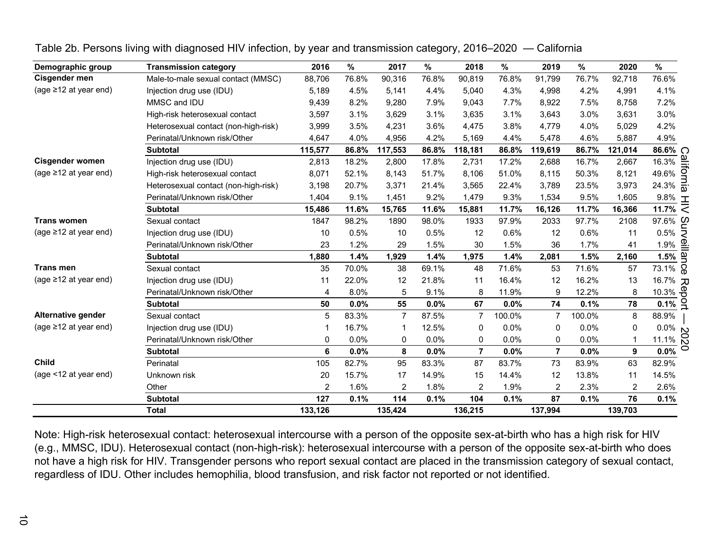| Demographic group           | <b>Transmission category</b>         | 2016           | %     | 2017           | %     | 2018           | $\%$   | 2019           | $\%$   | 2020           | $\%$                    |
|-----------------------------|--------------------------------------|----------------|-------|----------------|-------|----------------|--------|----------------|--------|----------------|-------------------------|
| <b>Cisgender men</b>        | Male-to-male sexual contact (MMSC)   | 88,706         | 76.8% | 90,316         | 76.8% | 90,819         | 76.8%  | 91,799         | 76.7%  | 92,718         | 76.6%                   |
| (age $\geq$ 12 at year end) | Injection drug use (IDU)             | 5,189          | 4.5%  | 5,141          | 4.4%  | 5,040          | 4.3%   | 4,998          | 4.2%   | 4,991          | 4.1%                    |
|                             | MMSC and IDU                         | 9,439          | 8.2%  | 9,280          | 7.9%  | 9,043          | 7.7%   | 8,922          | 7.5%   | 8,758          | 7.2%                    |
|                             | High-risk heterosexual contact       | 3,597          | 3.1%  | 3,629          | 3.1%  | 3,635          | 3.1%   | 3,643          | 3.0%   | 3,631          | 3.0%                    |
|                             | Heterosexual contact (non-high-risk) | 3,999          | 3.5%  | 4,231          | 3.6%  | 4,475          | 3.8%   | 4,779          | 4.0%   | 5,029          | 4.2%                    |
|                             | Perinatal/Unknown risk/Other         | 4,647          | 4.0%  | 4,956          | 4.2%  | 5,169          | 4.4%   | 5,478          | 4.6%   | 5,887          | 4.9%                    |
|                             | <b>Subtotal</b>                      | 115,577        | 86.8% | 117,553        | 86.8% | 118,181        | 86.8%  | 119,619        | 86.7%  | 121,014        | 86.6% O                 |
| <b>Cisgender women</b>      | Injection drug use (IDU)             | 2,813          | 18.2% | 2,800          | 17.8% | 2,731          | 17.2%  | 2,688          | 16.7%  | 2,667          | 16.3%                   |
| (age $\geq$ 12 at year end) | High-risk heterosexual contact       | 8,071          | 52.1% | 8,143          | 51.7% | 8,106          | 51.0%  | 8,115          | 50.3%  | 8,121          | ୍ର<br>ମ<br>49.6%        |
|                             | Heterosexual contact (non-high-risk) | 3,198          | 20.7% | 3,371          | 21.4% | 3,565          | 22.4%  | 3,789          | 23.5%  | 3,973          | $\bar{a}$<br>24.3%      |
|                             | Perinatal/Unknown risk/Other         | 1,404          | 9.1%  | 1,451          | 9.2%  | 1,479          | 9.3%   | 1,534          | 9.5%   | 1,605          | 9.8% $\mathbf{T}$       |
|                             | <b>Subtotal</b>                      | 15,486         | 11.6% | 15,765         | 11.6% | 15,881         | 11.7%  | 16,126         | 11.7%  | 16,366         | 11.7%<br>⋜              |
| <b>Trans women</b>          | Sexual contact                       | 1847           | 98.2% | 1890           | 98.0% | 1933           | 97.9%  | 2033           | 97.7%  | 2108           | 97.6% တ                 |
| (age ≥12 at year end)       | Injection drug use (IDU)             | 10             | 0.5%  | 10             | 0.5%  | 12             | 0.6%   | 12             | 0.6%   | 11             | ₹<br>0.5%               |
|                             | Perinatal/Unknown risk/Other         | 23             | 1.2%  | 29             | 1.5%  | 30             | 1.5%   | 36             | 1.7%   | 41             | 1.9%                    |
|                             | <b>Subtotal</b>                      | 1,880          | 1.4%  | 1,929          | 1.4%  | 1,975          | 1.4%   | 2,081          | 1.5%   | 2,160          | <u>1.5% ஜ</u>           |
| <b>Trans men</b>            | Sexual contact                       | 35             | 70.0% | 38             | 69.1% | 48             | 71.6%  | 53             | 71.6%  | 57             | $73.1\%$ $\bar{\Omega}$ |
| (age ≥12 at year end)       | Injection drug use (IDU)             | 11             | 22.0% | 12             | 21.8% | 11             | 16.4%  | 12             | 16.2%  | 13             | 16.7% 刀                 |
|                             | Perinatal/Unknown risk/Other         | 4              | 8.0%  | 5              | 9.1%  | 8              | 11.9%  | 9              | 12.2%  | 8              | 10.3% B                 |
|                             | <b>Subtotal</b>                      | 50             | 0.0%  | 55             | 0.0%  | 67             | 0.0%   | 74             | 0.1%   | 78             | $0.1\%$ $\supseteq$     |
| Alternative gender          | Sexual contact                       | 5              | 83.3% | $\overline{7}$ | 87.5% | $\overline{7}$ | 100.0% | $\overline{7}$ | 100.0% | 8              | 88.9%                   |
| (age $\geq$ 12 at year end) | Injection drug use (IDU)             |                | 16.7% | 1              | 12.5% | 0              | 0.0%   | 0              | 0.0%   | 0              | $0.0\%$ N               |
|                             | Perinatal/Unknown risk/Other         | 0              | 0.0%  | 0              | 0.0%  | 0              | 0.0%   | 0              | 0.0%   |                | $\overline{5}$<br>11.1% |
|                             | <b>Subtotal</b>                      | 6              | 0.0%  | $\pmb{8}$      | 0.0%  | $\overline{7}$ | 0.0%   | $\overline{7}$ | 0.0%   | 9              | Õ<br>0.0%               |
| <b>Child</b>                | Perinatal                            | 105            | 82.7% | 95             | 83.3% | 87             | 83.7%  | 73             | 83.9%  | 63             | 82.9%                   |
| (age <12 at year end)       | Unknown risk                         | 20             | 15.7% | 17             | 14.9% | 15             | 14.4%  | 12             | 13.8%  | 11             | 14.5%                   |
|                             | Other                                | $\overline{2}$ | 1.6%  | $\overline{c}$ | 1.8%  | $\overline{c}$ | 1.9%   | $\overline{2}$ | 2.3%   | $\overline{2}$ | 2.6%                    |
|                             | <b>Subtotal</b>                      | 127            | 0.1%  | 114            | 0.1%  | 104            | 0.1%   | 87             | 0.1%   | 76             | 0.1%                    |
|                             | <b>Total</b>                         | 133,126        |       | 135,424        |       | 136,215        |        | 137,994        |        | 139,703        |                         |

<span id="page-9-0"></span>Table 2b. Persons living with diagnosed HIV infection, by year and transmission category, 2016–2020 — California

Note: High-risk heterosexual contact: heterosexual intercourse with a person of the opposite sex-at-birth who has a high risk for HIV (e.g., MMSC, IDU). Heterosexual contact (non-high-risk): heterosexual intercourse with a person of the opposite sex-at-birth who does not have a high risk for HIV. Transgender persons who report sexual contact are placed in the transmission category of sexual contact, regardless of IDU. Other includes hemophilia, blood transfusion, and risk factor not reported or not identified.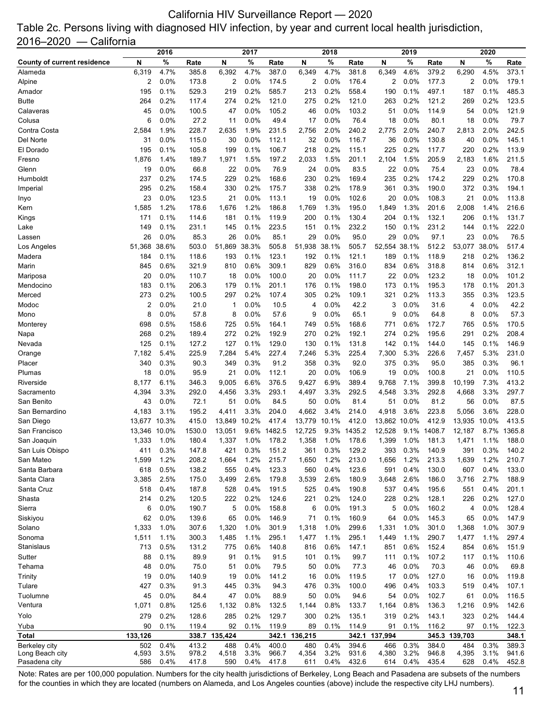<span id="page-10-0"></span>Table 2c. Persons living with diagnosed HIV infection, by year and current local health jurisdiction, 2016–2020 — California

|                                    |         | 2016    |        |               | 2017    |        |               | 2018  |        |               | 2019    |        |               | 2020    |        |
|------------------------------------|---------|---------|--------|---------------|---------|--------|---------------|-------|--------|---------------|---------|--------|---------------|---------|--------|
| <b>County of current residence</b> | N       | %       | Rate   | N             | %       | Rate   | N             | %     | Rate   | N             | $\%$    | Rate   | N             | $\%$    | Rate   |
| Alameda                            | 6,319   | 4.7%    | 385.8  | 6,392         | 4.7%    | 387.0  | 6,349         | 4.7%  | 381.8  | 6,349         | 4.6%    | 379.2  | 6,290         | 4.5%    | 373.1  |
| Alpine                             | 2       | 0.0%    | 173.8  | 2             | $0.0\%$ | 174.5  | 2             | 0.0%  | 176.4  | 2             | 0.0%    | 177.3  | 2             | 0.0%    | 179.1  |
| Amador                             | 195     | 0.1%    | 529.3  | 219           | 0.2%    | 585.7  | 213           | 0.2%  | 558.4  | 190           | 0.1%    | 497.1  | 187           | 0.1%    | 485.3  |
| Butte                              | 264     | 0.2%    | 117.4  | 274           | 0.2%    | 121.0  | 275           | 0.2%  | 121.0  | 263           | 0.2%    | 121.2  | 269           | 0.2%    | 123.5  |
| Calaveras                          | 45      | 0.0%    | 100.5  | 47            | 0.0%    | 105.2  | 46            | 0.0%  | 103.2  | 51            | 0.0%    | 114.9  | 54            | 0.0%    | 121.9  |
| Colusa                             | 6       | 0.0%    | 27.2   | 11            | $0.0\%$ | 49.4   | 17            | 0.0%  | 76.4   | 18            | 0.0%    | 80.1   | 18            | 0.0%    | 79.7   |
| Contra Costa                       | 2,584   | 1.9%    | 228.7  | 2,635         | 1.9%    | 231.5  | 2,756         | 2.0%  | 240.2  | 2,775         | 2.0%    | 240.7  | 2,813         | 2.0%    | 242.5  |
| Del Norte                          | 31      | $0.0\%$ | 115.0  | 30            | 0.0%    | 112.1  | 32            | 0.0%  | 116.7  | 36            | 0.0%    | 130.8  | 40            | 0.0%    | 145.1  |
| El Dorado                          | 195     | 0.1%    | 105.8  | 199           | 0.1%    | 106.7  | 218           | 0.2%  | 115.1  | 225           | 0.2%    | 117.7  | 220           | 0.2%    | 113.9  |
| Fresno                             | 1,876   | 1.4%    | 189.7  | 1,971         | 1.5%    | 197.2  | 2,033         | 1.5%  | 201.1  | 2,104         | 1.5%    | 205.9  | 2,183         | 1.6%    | 211.5  |
| Glenn                              | 19      | 0.0%    | 66.8   | 22            | $0.0\%$ | 76.9   | 24            | 0.0%  | 83.5   | 22            | 0.0%    | 75.4   | 23            | 0.0%    | 78.4   |
| Humboldt                           | 237     | 0.2%    | 174.5  | 229           | 0.2%    | 168.6  | 230           | 0.2%  | 169.4  | 235           | 0.2%    | 174.2  | 229           | 0.2%    | 170.8  |
| Imperial                           | 295     | 0.2%    | 158.4  | 330           | 0.2%    | 175.7  | 338           | 0.2%  | 178.9  | 361           | 0.3%    | 190.0  | 372           | 0.3%    | 194.1  |
| Inyo                               | 23      | 0.0%    | 123.5  | 21            | $0.0\%$ | 113.1  | 19            | 0.0%  | 102.6  | 20            | 0.0%    | 108.3  | 21            | 0.0%    | 113.8  |
| Kern                               | 1,585   | 1.2%    | 178.6  | 1,676         | 1.2%    | 186.8  | 1,769         | 1.3%  | 195.0  | 1,849         | 1.3%    | 201.6  | 2,008         | 1.4%    | 216.6  |
| Kings                              | 171     | 0.1%    | 114.6  | 181           | 0.1%    | 119.9  | 200           | 0.1%  | 130.4  | 204           | 0.1%    | 132.1  | 206           | 0.1%    | 131.7  |
| Lake                               | 149     | 0.1%    | 231.1  | 145           | 0.1%    | 223.5  | 151           | 0.1%  | 232.2  | 150           | 0.1%    | 231.2  | 144           | 0.1%    | 222.0  |
| Lassen                             | 26      | $0.0\%$ | 85.3   | 26            | 0.0%    | 85.1   | 29            | 0.0%  | 95.0   | 29            | 0.0%    | 97.1   | 23            | 0.0%    | 76.5   |
| Los Angeles                        | 51.368  | 38.6%   | 503.0  | 51.869        | 38.3%   | 505.8  | 51,938        | 38.1% | 505.7  | 52,554        | 38.1%   | 512.2  | 53,077        | 38.0%   | 517.4  |
| Madera                             | 184     | 0.1%    | 118.6  | 193           | 0.1%    | 123.1  | 192           | 0.1%  | 121.1  | 189           | 0.1%    | 118.9  | 218           | 0.2%    | 136.2  |
| Marin                              | 845     | 0.6%    | 321.9  | 810           | 0.6%    | 309.1  | 829           | 0.6%  | 316.0  | 834           | 0.6%    | 318.8  | 814           | 0.6%    | 312.1  |
| Mariposa                           | 20      | $0.0\%$ | 110.7  | 18            | 0.0%    | 100.0  | 20            | 0.0%  | 111.7  | 22            | 0.0%    | 123.2  | 18            | 0.0%    | 101.2  |
| Mendocino                          | 183     | 0.1%    | 206.3  | 179           | $0.1\%$ | 201.1  | 176           | 0.1%  | 198.0  | 173           | 0.1%    | 195.3  | 178           | 0.1%    | 201.3  |
| Merced                             | 273     | 0.2%    | 100.5  | 297           | 0.2%    | 107.4  | 305           | 0.2%  | 109.1  | 321           | 0.2%    | 113.3  | 355           | 0.3%    | 123.5  |
| Modoc                              | 2       | 0.0%    | 21.0   | 1             | $0.0\%$ | 10.5   | 4             | 0.0%  | 42.2   | 3             | 0.0%    | 31.6   | 4             | 0.0%    | 42.2   |
| Mono                               | 8       | 0.0%    | 57.8   | 8             | $0.0\%$ | 57.6   | 9             | 0.0%  | 65.1   | 9             | 0.0%    | 64.8   | 8             | 0.0%    | 57.3   |
| Monterey                           | 698     | 0.5%    | 158.6  | 725           | 0.5%    | 164.1  | 749           | 0.5%  | 168.6  | 771           | 0.6%    | 172.7  | 765           | 0.5%    | 170.5  |
| Napa                               | 268     | 0.2%    | 189.4  | 272           | 0.2%    | 192.9  | 270           | 0.2%  | 192.1  | 274           | 0.2%    | 195.6  | 291           | 0.2%    | 208.4  |
| Nevada                             | 125     | 0.1%    | 127.2  | 127           | 0.1%    | 129.0  | 130           | 0.1%  | 131.8  | 142           | 0.1%    | 144.0  | 145           | 0.1%    | 146.9  |
| Orange                             | 7,182   | 5.4%    | 225.9  | 7,284         | 5.4%    | 227.4  | 7,246         | 5.3%  | 225.4  | 7,300         | 5.3%    | 226.6  | 7,457         | 5.3%    | 231.0  |
| Placer                             | 340     | 0.3%    | 90.3   | 349           | 0.3%    | 91.2   | 358           | 0.3%  | 92.0   | 375           | 0.3%    | 95.0   | 385           | 0.3%    | 96.1   |
| Plumas                             | 18      | $0.0\%$ | 95.9   | 21            | 0.0%    | 112.1  | 20            | 0.0%  | 106.9  | 19            | 0.0%    | 100.8  | 21            | 0.0%    | 110.5  |
| Riverside                          | 8,177   | 6.1%    | 346.3  | 9,005         | 6.6%    | 376.5  | 9,427         | 6.9%  | 389.4  | 9,768         | 7.1%    | 399.8  | 10,199        | 7.3%    | 413.2  |
| Sacramento                         | 4,394   | 3.3%    | 292.0  | 4,456         | 3.3%    | 293.1  | 4,497         | 3.3%  | 292.5  | 4,548         | 3.3%    | 292.8  | 4,668         | 3.3%    | 297.7  |
| San Benito                         | 43      | 0.0%    | 72.1   | 51            | 0.0%    | 84.5   | 50            | 0.0%  | 81.4   | 51            | 0.0%    | 81.2   | 56            | 0.0%    | 87.5   |
| San Bernardino                     | 4,183   | 3.1%    | 195.2  | 4,411         | 3.3%    | 204.0  | 4,662         | 3.4%  | 214.0  | 4,918         | 3.6%    | 223.8  | 5,056         | 3.6%    | 228.0  |
| San Diego                          | 13,677  | 10.3%   | 415.0  | 13,849        | 10.2%   | 417.4  | 13,779        | 10.1% | 412.0  | 13,862        | 10.0%   | 412.9  | 13,935        | 10.0%   | 413.5  |
| San Francisco                      | 13,346  | 10.0%   | 1530.0 | 13,051        | 9.6%    | 1482.5 | 12,725        | 9.3%  | 1435.2 | 12,528        | $9.1\%$ | 1408.7 | 12,187        | 8.7%    | 1365.8 |
| San Joaquin                        | 1,333   | 1.0%    | 180.4  | 1,337         | 1.0%    | 178.2  | 1,358         | 1.0%  | 178.6  | 1,399         | 1.0%    | 181.3  | 1,471         | 1.1%    | 188.0  |
| San Luis Obispo                    | 411     | 0.3%    | 147.8  | 421           | 0.3%    | 151.2  | 361           | 0.3%  | 129.2  | 393           | 0.3%    | 140.9  | 391           | 0.3%    | 140.2  |
| San Mateo                          | 1,599   | 1.2%    | 208.2  | 1,664         | 1.2%    | 215.7  | 1,650         | 1.2%  | 213.0  | 1,656         | 1.2%    | 213.3  | 1,639         | 1.2%    | 210.7  |
| Santa Barbara                      | 618     | 0.5%    | 138.2  | 555           | 0.4%    | 123.3  | 560           | 0.4%  | 123.6  | 591           | 0.4%    | 130.0  | 607           | 0.4%    | 133.0  |
| Santa Clara                        | 3,385   | 2.5%    | 175.0  | 3,499         | 2.6%    | 179.8  | 3,539         | 2.6%  | 180.9  | 3,648         | 2.6%    | 186.0  | 3,716         | 2.7%    | 188.9  |
| Santa Cruz                         | 518     | 0.4%    | 187.8  | 528           | 0.4%    | 191.5  | 525           | 0.4%  | 190.8  | 537           | 0.4%    | 195.6  | 551           | 0.4%    | 201.1  |
| Shasta                             | 214     | 0.2%    | 120.5  | 222           | 0.2%    | 124.6  | 221           | 0.2%  | 124.0  | 228           | 0.2%    | 128.1  | 226           | 0.2%    | 127.0  |
| Sierra                             | 6       | 0.0%    | 190.7  | 5             | 0.0%    | 158.8  | 6             | 0.0%  | 191.3  | 5             | 0.0%    | 160.2  | 4             | 0.0%    | 128.4  |
| Siskiyou                           | 62      | $0.0\%$ | 139.6  | 65            | 0.0%    | 146.9  | 71            | 0.1%  | 160.9  | 64            | 0.0%    | 145.3  | 65            | 0.0%    | 147.9  |
| Solano                             | 1,333   | 1.0%    | 307.6  | 1,320         | 1.0%    | 301.9  | 1,318         | 1.0%  | 299.6  | 1,331         | 1.0%    | 301.0  | 1,368         | 1.0%    | 307.9  |
| Sonoma                             | 1,511   | 1.1%    | 300.3  | 1,485         | 1.1%    | 295.1  | 1,477         | 1.1%  | 295.1  | 1,449         | 1.1%    | 290.7  | 1,477         | 1.1%    | 297.4  |
| Stanislaus                         | 713     | 0.5%    | 131.2  | 775           | 0.6%    | 140.8  | 816           | 0.6%  | 147.1  | 851           | 0.6%    | 152.4  | 854           | 0.6%    | 151.9  |
| Sutter                             | 88      | 0.1%    | 89.9   | 91            | 0.1%    | 91.5   | 101           | 0.1%  | 99.7   | 111           | 0.1%    | 107.2  | 117           | 0.1%    | 110.6  |
| Tehama                             | 48      | $0.0\%$ | 75.0   | 51            | 0.0%    | 79.5   | 50            | 0.0%  | 77.3   | 46            | 0.0%    | 70.3   | 46            | 0.0%    | 69.8   |
| Trinity                            | 19      | $0.0\%$ | 140.9  | 19            | 0.0%    | 141.2  | 16            | 0.0%  | 119.5  | 17            | 0.0%    | 127.0  | 16            | $0.0\%$ | 119.8  |
| Tulare                             | 427     | 0.3%    | 91.3   | 445           | 0.3%    | 94.3   | 476           | 0.3%  | 100.0  | 496           | 0.4%    | 103.3  | 519           | 0.4%    | 107.1  |
| Tuolumne                           | 45      | 0.0%    | 84.4   | 47            | 0.0%    | 88.9   | 50            | 0.0%  | 94.6   | 54            | 0.0%    | 102.7  | 61            | 0.0%    | 116.5  |
| Ventura                            | 1,071   | 0.8%    | 125.6  | 1,132         | 0.8%    | 132.5  | 1,144         | 0.8%  | 133.7  | 1,164         | 0.8%    | 136.3  | 1,216         | 0.9%    | 142.6  |
| Yolo                               | 279     | 0.2%    | 128.6  | 285           | 0.2%    | 129.7  | 300           | 0.2%  | 135.1  | 319           | 0.2%    | 143.1  | 323           | 0.2%    | 144.4  |
| Yuba                               | 90      | 0.1%    | 119.4  | 92            | 0.1%    | 119.9  | 89            | 0.1%  | 114.9  | 91            | 0.1%    | 116.2  | 97            | 0.1%    | 122.3  |
| <b>Total</b>                       | 133,126 |         |        | 338.7 135,424 |         |        | 342.1 136,215 |       |        | 342.1 137,994 |         |        | 345.3 139,703 |         | 348.1  |
| Berkeley city                      | 502     | 0.4%    | 413.2  | 488           | 0.4%    | 400.0  | 480           | 0.4%  | 394.6  | 466           | 0.3%    | 384.0  | 484           | 0.3%    | 389.3  |
| Long Beach city                    | 4,593   | 3.5%    | 978.2  | 4,518         | 3.3%    | 966.7  | 4,354         | 3.2%  | 931.6  | 4,380         | 3.2%    | 946.8  | 4,395         | 3.1%    | 941.6  |
| Pasadena city                      | 586     | 0.4%    | 417.8  | 590           | 0.4%    | 417.8  | 611           | 0.4%  | 432.6  | 614           | 0.4%    | 435.4  | 628           | 0.4%    | 452.8  |

Note: Rates are per 100,000 population. Numbers for the city health jurisdictions of Berkeley, Long Beach and Pasadena are subsets of the numbers for the counties in which they are located (numbers on Alameda, and Los Angeles counties (above) include the respective city LHJ numbers).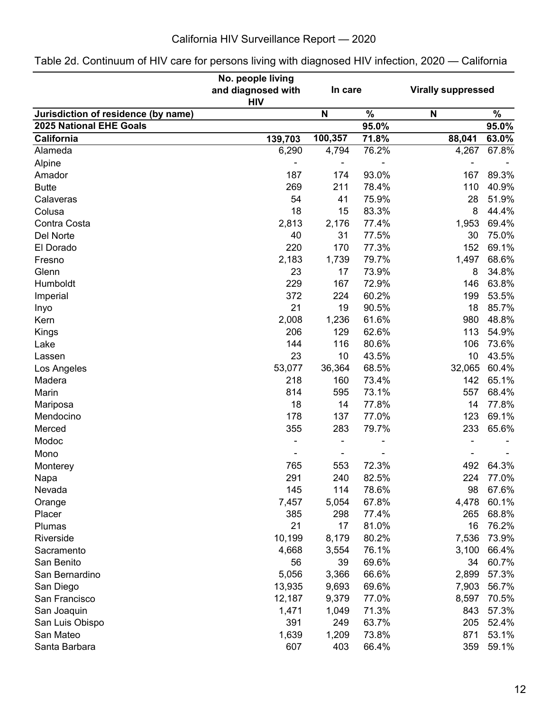|                                     | No. people living                |         |       |                           |       |
|-------------------------------------|----------------------------------|---------|-------|---------------------------|-------|
|                                     | and diagnosed with<br><b>HIV</b> | In care |       | <b>Virally suppressed</b> |       |
| Jurisdiction of residence (by name) |                                  | N       | $\%$  | N                         | $\%$  |
| <b>2025 National EHE Goals</b>      |                                  |         | 95.0% |                           | 95.0% |
| <b>California</b>                   | 139,703                          | 100,357 | 71.8% | 88,041                    | 63.0% |
| Alameda                             | 6,290                            | 4,794   | 76.2% | 4,267                     | 67.8% |
| Alpine                              |                                  | -       |       |                           |       |
| Amador                              | 187                              | 174     | 93.0% | 167                       | 89.3% |
| <b>Butte</b>                        | 269                              | 211     | 78.4% | 110                       | 40.9% |
| Calaveras                           | 54                               | 41      | 75.9% | 28                        | 51.9% |
| Colusa                              | 18                               | 15      | 83.3% | 8                         | 44.4% |
| Contra Costa                        | 2,813                            | 2,176   | 77.4% | 1,953                     | 69.4% |
| Del Norte                           | 40                               | 31      | 77.5% | 30                        | 75.0% |
| El Dorado                           | 220                              | 170     | 77.3% | 152                       | 69.1% |
| Fresno                              | 2,183                            | 1,739   | 79.7% | 1,497                     | 68.6% |
| Glenn                               | 23                               | 17      | 73.9% | 8                         | 34.8% |
| Humboldt                            | 229                              | 167     | 72.9% | 146                       | 63.8% |
| Imperial                            | 372                              | 224     | 60.2% | 199                       | 53.5% |
| Inyo                                | 21                               | 19      | 90.5% | 18                        | 85.7% |
| Kern                                | 2,008                            | 1,236   | 61.6% | 980                       | 48.8% |
| Kings                               | 206                              | 129     | 62.6% | 113                       | 54.9% |
| Lake                                | 144                              | 116     | 80.6% | 106                       | 73.6% |
| Lassen                              | 23                               | 10      | 43.5% | 10                        | 43.5% |
| Los Angeles                         | 53,077                           | 36,364  | 68.5% | 32,065                    | 60.4% |
| Madera                              | 218                              | 160     | 73.4% | 142                       | 65.1% |
| Marin                               | 814                              | 595     | 73.1% | 557                       | 68.4% |
| Mariposa                            | 18                               | 14      | 77.8% | 14                        | 77.8% |
| Mendocino                           | 178                              | 137     | 77.0% | 123                       | 69.1% |
| Merced                              | 355                              | 283     | 79.7% | 233                       | 65.6% |
| Modoc                               |                                  |         |       |                           |       |
| Mono                                |                                  |         |       |                           |       |
| Monterey                            | 765                              | 553     | 72.3% | 492                       | 64.3% |
| Napa                                | 291                              | 240     | 82.5% | 224                       | 77.0% |
| Nevada                              | 145                              | 114     | 78.6% | 98                        | 67.6% |
| Orange                              | 7,457                            | 5,054   | 67.8% | 4,478                     | 60.1% |
| Placer                              | 385                              | 298     | 77.4% | 265                       | 68.8% |
| Plumas                              | 21                               | 17      | 81.0% | 16                        | 76.2% |
| Riverside                           | 10,199                           | 8,179   | 80.2% | 7,536                     | 73.9% |
| Sacramento                          | 4,668                            | 3,554   | 76.1% | 3,100                     | 66.4% |
| San Benito                          | 56                               | 39      | 69.6% | 34                        | 60.7% |
| San Bernardino                      | 5,056                            | 3,366   | 66.6% | 2,899                     | 57.3% |
| San Diego                           | 13,935                           | 9,693   | 69.6% | 7,903                     | 56.7% |
| San Francisco                       | 12,187                           | 9,379   | 77.0% | 8,597                     | 70.5% |
| San Joaquin                         | 1,471                            | 1,049   | 71.3% | 843                       | 57.3% |
| San Luis Obispo                     | 391                              | 249     | 63.7% | 205                       | 52.4% |
| San Mateo                           | 1,639                            | 1,209   | 73.8% | 871                       | 53.1% |
| Santa Barbara                       | 607                              | 403     | 66.4% | 359                       | 59.1% |

<span id="page-11-0"></span>

|  | Table 2d. Continuum of HIV care for persons living with diagnosed HIV infection, 2020 — California |
|--|----------------------------------------------------------------------------------------------------|
|  |                                                                                                    |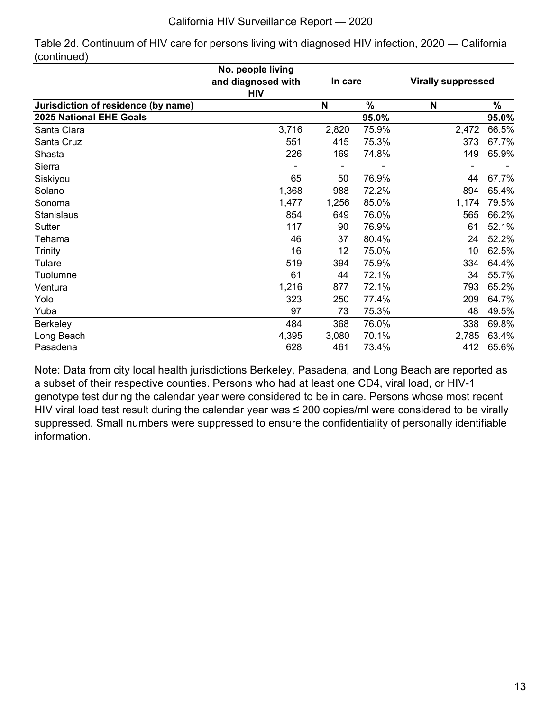|                                     | No. people living<br>and diagnosed with<br><b>HIV</b> | In care |       | <b>Virally suppressed</b> |       |
|-------------------------------------|-------------------------------------------------------|---------|-------|---------------------------|-------|
| Jurisdiction of residence (by name) |                                                       | N       | %     | N                         | $\%$  |
| <b>2025 National EHE Goals</b>      |                                                       |         | 95.0% |                           | 95.0% |
| Santa Clara                         | 3,716                                                 | 2,820   | 75.9% | 2,472                     | 66.5% |
| Santa Cruz                          | 551                                                   | 415     | 75.3% | 373                       | 67.7% |
| Shasta                              | 226                                                   | 169     | 74.8% | 149                       | 65.9% |
| Sierra                              |                                                       |         |       |                           |       |
| Siskiyou                            | 65                                                    | 50      | 76.9% | 44                        | 67.7% |
| Solano                              | 1,368                                                 | 988     | 72.2% | 894                       | 65.4% |
| Sonoma                              | 1,477                                                 | 1,256   | 85.0% | 1,174                     | 79.5% |
| <b>Stanislaus</b>                   | 854                                                   | 649     | 76.0% | 565                       | 66.2% |
| Sutter                              | 117                                                   | 90      | 76.9% | 61                        | 52.1% |
| Tehama                              | 46                                                    | 37      | 80.4% | 24                        | 52.2% |
| Trinity                             | 16                                                    | 12      | 75.0% | 10                        | 62.5% |
| Tulare                              | 519                                                   | 394     | 75.9% | 334                       | 64.4% |
| Tuolumne                            | 61                                                    | 44      | 72.1% | 34                        | 55.7% |
| Ventura                             | 1,216                                                 | 877     | 72.1% | 793                       | 65.2% |
| Yolo                                | 323                                                   | 250     | 77.4% | 209                       | 64.7% |
| Yuba                                | 97                                                    | 73      | 75.3% | 48                        | 49.5% |
| <b>Berkeley</b>                     | 484                                                   | 368     | 76.0% | 338                       | 69.8% |
| Long Beach                          | 4,395                                                 | 3,080   | 70.1% | 2,785                     | 63.4% |
| Pasadena                            | 628                                                   | 461     | 73.4% | 412                       | 65.6% |

Table 2d. Continuum of HIV care for persons living with diagnosed HIV infection, 2020 — California (continued)

Note: Data from city local health jurisdictions Berkeley, Pasadena, and Long Beach are reported as a subset of their respective counties. Persons who had at least one CD4, viral load, or HIV-1 genotype test during the calendar year were considered to be in care. Persons whose most recent HIV viral load test result during the calendar year was ≤ 200 copies/ml were considered to be virally suppressed. Small numbers were suppressed to ensure the confidentiality of personally identifiable information.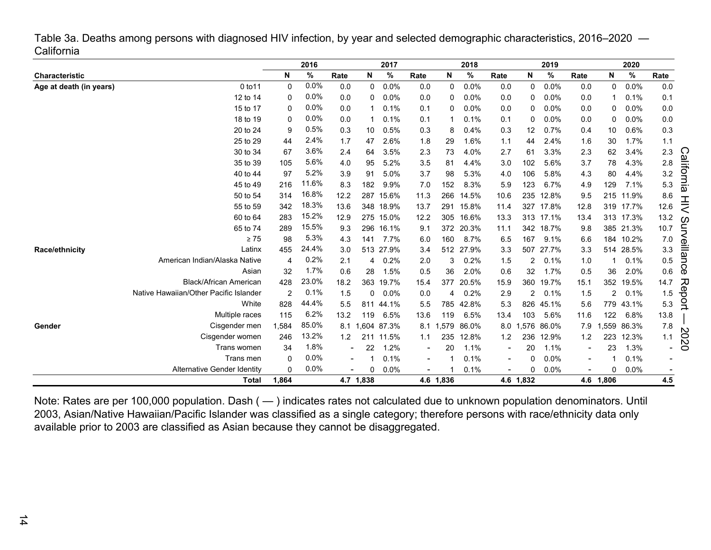<span id="page-13-0"></span>Table 3a. Deaths among persons with diagnosed HIV infection, by year and selected demographic characteristics, 2016–2020 — **California** 

|                         |                                        |                | 2016  |                |              | 2017       |                          |             | 2018  |      |                       | 2019      |      |           | 2020       |        |          |
|-------------------------|----------------------------------------|----------------|-------|----------------|--------------|------------|--------------------------|-------------|-------|------|-----------------------|-----------|------|-----------|------------|--------|----------|
| Characteristic          |                                        | N              | %     | Rate           | N            | $\%$       | Rate                     | N           | %     | Rate | N                     | %         | Rate | N         | %          | Rate   |          |
| Age at death (in years) | 0 to 11                                | $\Omega$       | 0.0%  | 0.0            | 0            | 0.0%       | 0.0                      | $\mathbf 0$ | 0.0%  | 0.0  | 0                     | 0.0%      | 0.0  | 0         | 0.0%       | 0.0    |          |
|                         | 12 to 14                               | 0              | 0.0%  | 0.0            | 0            | 0.0%       | 0.0                      | 0           | 0.0%  | 0.0  | 0                     | 0.0%      | 0.0  |           | 0.1%       | 0.1    |          |
|                         | 15 to 17                               | 0              | 0.0%  | 0.0            | 1            | 0.1%       | 0.1                      | 0           | 0.0%  | 0.0  | 0                     | 0.0%      | 0.0  | 0         | 0.0%       | 0.0    |          |
|                         | 18 to 19                               | $\Omega$       | 0.0%  | 0.0            | -1           | 0.1%       | 0.1                      |             | 0.1%  | 0.1  | O                     | 0.0%      | 0.0  | 0         | 0.0%       | 0.0    |          |
|                         | 20 to 24                               | 9              | 0.5%  | 0.3            | 10           | 0.5%       | 0.3                      | 8           | 0.4%  | 0.3  | 12                    | 0.7%      | 0.4  | 10        | 0.6%       | 0.3    |          |
|                         | 25 to 29                               | 44             | 2.4%  | 1.7            | 47           | 2.6%       | 1.8                      | 29          | 1.6%  | 1.1  | 44                    | 2.4%      | 1.6  | 30        | 1.7%       | 1.1    |          |
|                         | 30 to 34                               | 67             | 3.6%  | 2.4            | 64           | 3.5%       | 2.3                      | 73          | 4.0%  | 2.7  | 61                    | 3.3%      | 2.3  | 62        | 3.4%       | 2.3    | O        |
|                         | 35 to 39                               | 105            | 5.6%  | 4.0            | 95           | 5.2%       | 3.5                      | 81          | 4.4%  | 3.0  | 102                   | 5.6%      | 3.7  | 78        | 4.3%       | 2.8    | alifor   |
|                         | 40 to 44                               | 97             | 5.2%  | 3.9            | 91           | 5.0%       | 3.7                      | 98          | 5.3%  | 4.0  | 106                   | 5.8%      | 4.3  | 80        | 4.4%       | 3.2    |          |
|                         | 45 to 49                               | 216            | 11.6% | 8.3            | 182          | 9.9%       | 7.0                      | 152         | 8.3%  | 5.9  | 123                   | 6.7%      | 4.9  | 129       | 7.1%       | 5.3    | ⊟<br>פ   |
|                         | 50 to 54                               | 314            | 16.8% | 12.2           | 287          | 15.6%      | 11.3                     | 266         | 14.5% | 10.6 | 235                   | 12.8%     | 9.5  |           | 215 11.9%  | 8.6    |          |
|                         | 55 to 59                               | 342            | 18.3% | 13.6           | 348          | 18.9%      | 13.7                     | 291         | 15.8% | 11.4 | 327                   | 17.8%     | 12.8 |           | 319 17.7%  | 12.6   | エ<br>N   |
|                         | 60 to 64                               | 283            | 15.2% | 12.9           |              | 275 15.0%  | 12.2                     | 305         | 16.6% | 13.3 |                       | 313 17.1% | 13.4 |           | 313 17.3%  | 13.2   | $\omega$ |
|                         | 65 to 74                               | 289            | 15.5% | 9.3            | 296          | 16.1%      | 9.1                      | 372         | 20.3% | 11.1 | 342                   | 18.7%     | 9.8  |           | 385 21.3%  | 10.7   | ξ        |
|                         | $\geq 75$                              | 98             | 5.3%  | 4.3            | 141          | 7.7%       | 6.0                      | 160         | 8.7%  | 6.5  | 167                   | 9.1%      | 6.6  |           | 184 10.2%  | 7.0    | Ф        |
| Race/ethnicity          | Latinx                                 | 455            | 24.4% | 3.0            | 513          | 27.9%      | 3.4                      | 512         | 27.9% | 3.3  | 507                   | 27.7%     | 3.3  |           | 514 28.5%  | 3.3    | ≣ï       |
|                         | American Indian/Alaska Native          | 4              | 0.2%  | 2.1            | 4            | 0.2%       | 2.0                      | 3           | 0.2%  | 1.5  | $\mathbf{2}^{\prime}$ | 0.1%      | 1.0  | 1         | 0.1%       | 0.5    | มดด      |
|                         | Asian                                  | 32             | 1.7%  | 0.6            | 28           | 1.5%       | 0.5                      | 36          | 2.0%  | 0.6  | 32                    | 1.7%      | 0.5  | 36        | 2.0%       | 0.6    |          |
|                         | <b>Black/African American</b>          | 428            | 23.0% | 18.2           | 363          | 19.7%      | 15.4                     | 377         | 20.5% | 15.9 | 360                   | 19.7%     | 15.1 | 352       | 19.5%      | 14.7   | Report   |
|                         | Native Hawaiian/Other Pacific Islander | $\overline{2}$ | 0.1%  | 1.5            | $\mathbf{0}$ | 0.0%       | 0.0                      | 4           | 0.2%  | 2.9  | 2                     | 0.1%      | 1.5  | 2         | 0.1%       | 1.5    |          |
|                         | White                                  | 828            | 44.4% | 5.5            | 811          | 44.1%      | 5.5                      | 785         | 42.8% | 5.3  | 826                   | 45.1%     | 5.6  |           | 779 43.1%  | 5.3    |          |
|                         | Multiple races                         | 115            | 6.2%  | 13.2           | 119          | 6.5%       | 13.6                     | 119         | 6.5%  | 13.4 | 103                   | 5.6%      | 11.6 | 122       | 6.8%       | 13.8   |          |
| Gender                  | Cisgender men                          | 1.584          | 85.0% | 8.1            | -1           | .604 87.3% | 8.1                      | 1.579       | 86.0% | 8.0  | .576                  | 86.0%     | 7.9  |           | .559 86.3% | 7.8    |          |
|                         | Cisgender women                        | 246            | 13.2% | 1.2            | 211          | 11.5%      | 1.1                      | 235         | 12.8% | 1.2  | 236                   | 12.9%     | 1.2  | 223       | 12.3%      | 1.1    | 020      |
|                         | Trans women                            | 34             | 1.8%  |                | 22           | 1.2%       |                          | 20          | 1.1%  | -    | 20                    | 1.1%      |      | 23        | 1.3%       | $\sim$ |          |
|                         | Trans men                              | $\Omega$       | 0.0%  | $\blacksquare$ |              | 0.1%       | $\overline{\phantom{a}}$ |             | 0.1%  | ۰    | 0                     | 0.0%      | ٠    |           | 0.1%       |        |          |
|                         | <b>Alternative Gender Identity</b>     | $\Omega$       | 0.0%  |                | 0            | 0.0%       |                          |             | 0.1%  |      |                       | 0.0%      |      | 0         | 0.0%       |        |          |
|                         | <b>Total</b>                           | 1,864          |       |                | 4.7 1,838    |            |                          | 4.6 1,836   |       |      | 4.6 1,832             |           |      | 4.6 1,806 |            | 4.5    |          |

Note: Rates are per 100,000 population. Dash ( — ) indicates rates not calculated due to unknown population denominators. Until 2003, Asian/Native Hawaiian/Pacific Islander was classified as a single category; therefore persons with race/ethnicity data only available prior to 2003 are classified as Asian because they cannot be disaggregated.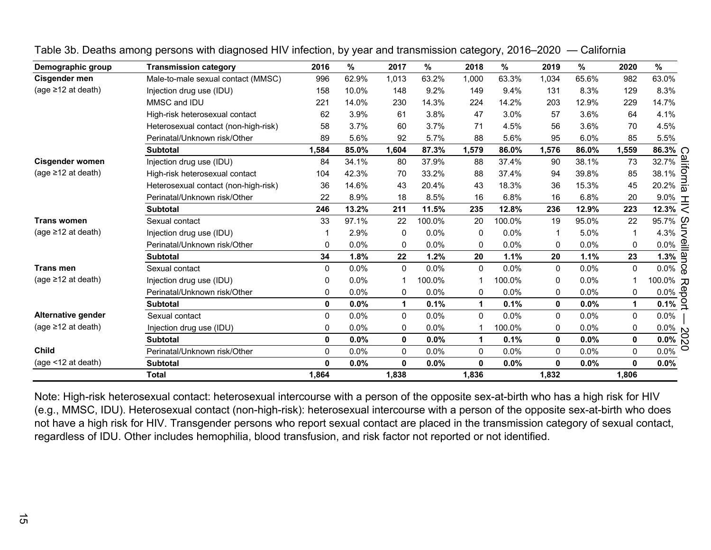| Demographic group    | <b>Transmission category</b>         | 2016         | %       | 2017  | $\%$   | 2018         | %       | 2019  | %       | 2020         | %                       |
|----------------------|--------------------------------------|--------------|---------|-------|--------|--------------|---------|-------|---------|--------------|-------------------------|
| <b>Cisgender men</b> | Male-to-male sexual contact (MMSC)   | 996          | 62.9%   | 1,013 | 63.2%  | 1,000        | 63.3%   | 1,034 | 65.6%   | 982          | 63.0%                   |
| (age ≥12 at death)   | Injection drug use (IDU)             | 158          | 10.0%   | 148   | 9.2%   | 149          | 9.4%    | 131   | 8.3%    | 129          | 8.3%                    |
|                      | MMSC and IDU                         | 221          | 14.0%   | 230   | 14.3%  | 224          | 14.2%   | 203   | 12.9%   | 229          | 14.7%                   |
|                      | High-risk heterosexual contact       | 62           | 3.9%    | 61    | 3.8%   | 47           | 3.0%    | 57    | 3.6%    | 64           | 4.1%                    |
|                      | Heterosexual contact (non-high-risk) | 58           | 3.7%    | 60    | 3.7%   | 71           | 4.5%    | 56    | 3.6%    | 70           | 4.5%                    |
|                      | Perinatal/Unknown risk/Other         | 89           | 5.6%    | 92    | 5.7%   | 88           | 5.6%    | 95    | 6.0%    | 85           | 5.5%                    |
|                      | <b>Subtotal</b>                      | 1,584        | 85.0%   | 1,604 | 87.3%  | 1,579        | 86.0%   | 1,576 | 86.0%   | 1,559        | 86.3% ○                 |
| Cisgender women      | Injection drug use (IDU)             | 84           | 34.1%   | 80    | 37.9%  | 88           | 37.4%   | 90    | 38.1%   | 73           | 32.7%<br>Е,             |
| (age ≥12 at death)   | High-risk heterosexual contact       | 104          | 42.3%   | 70    | 33.2%  | 88           | 37.4%   | 94    | 39.8%   | 85           | $\overline{a}$<br>38.1% |
|                      | Heterosexual contact (non-high-risk) | 36           | 14.6%   | 43    | 20.4%  | 43           | 18.3%   | 36    | 15.3%   | 45           | $20.2\%$ $\frac{3}{5}$  |
|                      | Perinatal/Unknown risk/Other         | 22           | 8.9%    | 18    | 8.5%   | 16           | 6.8%    | 16    | 6.8%    | 20           | 9.0%<br>工               |
|                      | <b>Subtotal</b>                      | 246          | 13.2%   | 211   | 11.5%  | 235          | 12.8%   | 236   | 12.9%   | 223          | $12.3\% <$              |
| <b>Trans women</b>   | Sexual contact                       | 33           | 97.1%   | 22    | 100.0% | 20           | 100.0%  | 19    | 95.0%   | 22           | 95.7% တွ                |
| (age ≥12 at death)   | Injection drug use (IDU)             |              | 2.9%    | 0     | 0.0%   | 0            | 0.0%    |       | 5.0%    | 1            | 4.3%<br>₹               |
|                      | Perinatal/Unknown risk/Other         | 0            | 0.0%    | 0     | 0.0%   | 0            | 0.0%    | 0     | 0.0%    | $\mathbf{0}$ | 0.0% $\underline{9}$    |
|                      | <b>Subtotal</b>                      | 34           | 1.8%    | 22    | 1.2%   | 20           | 1.1%    | 20    | 1.1%    | 23           | <u>1.3% ஜ</u>           |
| <b>Trans men</b>     | Sexual contact                       | 0            | 0.0%    | 0     | 0.0%   | $\Omega$     | 0.0%    | 0     | 0.0%    | $\mathbf 0$  | 0.0% $\Omega$           |
| (age ≥12 at death)   | Injection drug use (IDU)             | 0            | $0.0\%$ | 1     | 100.0% |              | 100.0%  | 0     | $0.0\%$ | 1            | 100.0% 刀                |
|                      | Perinatal/Unknown risk/Other         | 0            | 0.0%    | 0     | 0.0%   | 0            | 0.0%    | 0     | 0.0%    | 0            | $0.0\%$ $\frac{0}{0}$   |
|                      | <b>Subtotal</b>                      | 0            | 0.0%    | 1     | 0.1%   | 1            | 0.1%    | 0     | 0.0%    | 1            | $0.1\% \nightharpoonup$ |
| Alternative gender   | Sexual contact                       | 0            | 0.0%    | 0     | 0.0%   | $\Omega$     | 0.0%    | 0     | 0.0%    | 0            | 0.0%                    |
| (age ≥12 at death)   | Injection drug use (IDU)             | 0            | 0.0%    | 0     | 0.0%   |              | 100.0%  | 0     | $0.0\%$ | 0            | $0.0\%$<br>$\mathbf{v}$ |
|                      | <b>Subtotal</b>                      | $\mathbf{0}$ | 0.0%    | 0     | 0.0%   | 1.           | 0.1%    | 0     | 0.0%    | $\mathbf 0$  | လ<br>$0.0\%$            |
| <b>Child</b>         | Perinatal/Unknown risk/Other         | 0            | 0.0%    | 0     | 0.0%   | 0            | 0.0%    | 0     | 0.0%    | 0            | $\circ$<br>0.0%         |
| (age <12 at death)   | <b>Subtotal</b>                      | $\mathbf{0}$ | 0.0%    | 0     | 0.0%   | $\mathbf{0}$ | $0.0\%$ | 0     | 0.0%    | $\mathbf{0}$ | 0.0%                    |
|                      | <b>Total</b>                         | 1,864        |         | 1,838 |        | 1,836        |         | 1,832 |         | 1,806        |                         |

<span id="page-14-0"></span>Table 3b. Deaths among persons with diagnosed HIV infection, by year and transmission category, 2016–2020 — California

Note: High-risk heterosexual contact: heterosexual intercourse with a person of the opposite sex-at-birth who has a high risk for HIV (e.g., MMSC, IDU). Heterosexual contact (non-high-risk): heterosexual intercourse with a person of the opposite sex-at-birth who does not have a high risk for HIV. Transgender persons who report sexual contact are placed in the transmission category of sexual contact, regardless of IDU. Other includes hemophilia, blood transfusion, and risk factor not reported or not identified.